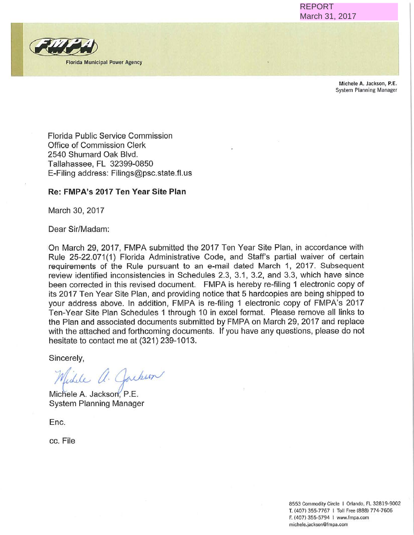**REPORT** March 31, 2017



Michele A. Jackson, P.E. System Planning Manager

Florida Public Service Commission Office of Commission Clerk 2540 Shumard Oak Blvd. Tallahassee, FL 32399-0850 E-Filing address: Filings@psc.state.fl. us

#### **Re: FMPA's 2017 Ten Year Site Plan**

March 30, 2017

Dear Sir/Madam:

On March 29, 2017, FMPA submitted the 2017 Ten Year Site Plan, in accordance with Rule 25-22.071(1) Florida Administrative Code, and Staff's partial waiver of certain requirements of the Rule pursuant to an e-mail dated March 1, 2017. Subsequent review identified inconsistencies in Schedules 2.3, 3.1, 3.2, and 3.3, which have since been corrected in this revised document. FMPA is hereby re-filing 1 electronic copy of its 2017 Ten Year Site Plan, and providing notice that 5 hardcopies are being shipped to your address above. In addition, FMPA is re-filing 1 electronic copy of FMPA's 2017 Ten-Year Site Plan Schedules 1 through 10 in excel format. Please remove all links to the Plan and associated documents submitted by FMPA on March 29, 2017 and replace with the attached and forthcoming documents. If you have any questions, please do not hesitate to contact me at (321) 239-1013. REPORT<br>
March 31, 2017<br>
Mich System<br>
Mich System<br>
System<br>
1 electronic cop<br>
2017. Subseq<br>
1 electronic cop<br>
are being shippe<br>
29, 2017 and rep<br>
29, 2017 and rep<br>
stions, please do<br>
Bass-5794 I www.file.<br>
E. (407) 355-7767

Sincerely,

Wichele a. Jacken

Michele A. Jackson, P.E. System Planning Manager

Enc.

cc. File

8553 Commodity Circle 1 Orlando, FL 32819-9002 T. !407) 355-7767 I Toll Free (888) 774·<sup>7606</sup> F. (407) 355-5794 I www.fmpa.com michele.jackson@fmpa.com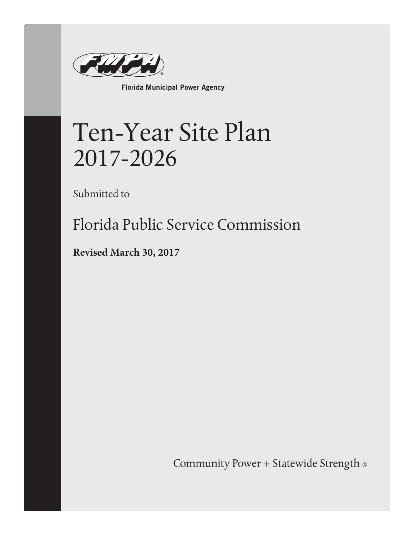

Florida Municipal Power Agency

# Ten-Year Site Plan 2017-2026

Submitted to

Florida Public Service Commission

**Revised March 30, 2017**

Community Power + Statewide Strength ®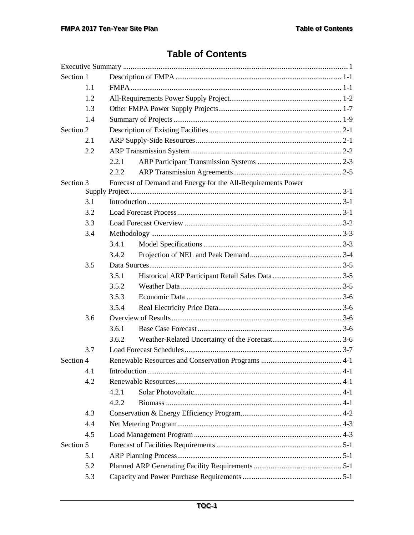## **Table of Contents**

| Section 1 |     |       |                                                              |  |  |  |
|-----------|-----|-------|--------------------------------------------------------------|--|--|--|
|           | 1.1 |       |                                                              |  |  |  |
|           | 1.2 |       |                                                              |  |  |  |
|           | 1.3 |       |                                                              |  |  |  |
|           | 1.4 |       |                                                              |  |  |  |
| Section 2 |     |       |                                                              |  |  |  |
|           | 2.1 |       |                                                              |  |  |  |
| 2.2       |     |       |                                                              |  |  |  |
|           |     | 2.2.1 |                                                              |  |  |  |
|           |     | 2.2.2 |                                                              |  |  |  |
| Section 3 |     |       | Forecast of Demand and Energy for the All-Requirements Power |  |  |  |
|           |     |       |                                                              |  |  |  |
|           | 3.1 |       |                                                              |  |  |  |
|           | 3.2 |       |                                                              |  |  |  |
|           | 3.3 |       |                                                              |  |  |  |
|           | 3.4 |       |                                                              |  |  |  |
|           |     | 3.4.1 |                                                              |  |  |  |
|           |     | 3.4.2 |                                                              |  |  |  |
|           | 3.5 |       |                                                              |  |  |  |
|           |     | 3.5.1 |                                                              |  |  |  |
|           |     | 3.5.2 |                                                              |  |  |  |
|           |     | 3.5.3 |                                                              |  |  |  |
|           |     | 3.5.4 |                                                              |  |  |  |
|           | 3.6 |       |                                                              |  |  |  |
|           |     | 3.6.1 |                                                              |  |  |  |
|           |     | 3.6.2 |                                                              |  |  |  |
|           | 3.7 |       |                                                              |  |  |  |
| Section 4 |     |       |                                                              |  |  |  |
|           | 4.1 |       |                                                              |  |  |  |
|           | 4.2 |       |                                                              |  |  |  |
|           |     | 4.2.1 |                                                              |  |  |  |
|           |     | 4.2.2 |                                                              |  |  |  |
|           | 4.3 |       |                                                              |  |  |  |
|           | 4.4 |       |                                                              |  |  |  |
|           | 4.5 |       |                                                              |  |  |  |
| Section 5 |     |       |                                                              |  |  |  |
|           | 5.1 |       |                                                              |  |  |  |
|           | 5.2 |       |                                                              |  |  |  |
|           | 5.3 |       |                                                              |  |  |  |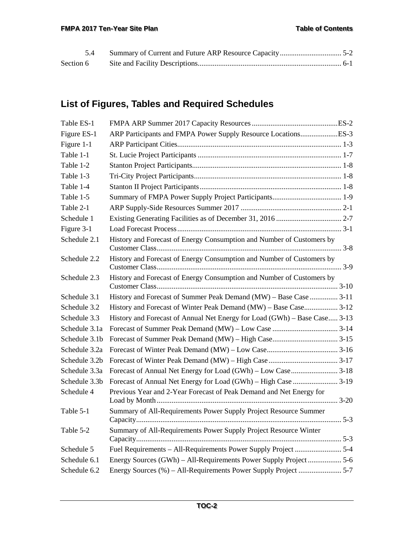# **List of Figures, Tables and Required Schedules**

| Table ES-1    |                                                                           |
|---------------|---------------------------------------------------------------------------|
| Figure ES-1   |                                                                           |
| Figure 1-1    |                                                                           |
| Table 1-1     |                                                                           |
| Table 1-2     |                                                                           |
| Table 1-3     |                                                                           |
| Table 1-4     |                                                                           |
| Table 1-5     |                                                                           |
| Table 2-1     |                                                                           |
| Schedule 1    |                                                                           |
| Figure 3-1    |                                                                           |
| Schedule 2.1  | History and Forecast of Energy Consumption and Number of Customers by     |
| Schedule 2.2  | History and Forecast of Energy Consumption and Number of Customers by     |
| Schedule 2.3  | History and Forecast of Energy Consumption and Number of Customers by     |
| Schedule 3.1  | History and Forecast of Summer Peak Demand (MW) - Base Case  3-11         |
| Schedule 3.2  | History and Forecast of Winter Peak Demand (MW) – Base Case 3-12          |
| Schedule 3.3  | History and Forecast of Annual Net Energy for Load (GWh) – Base Case 3-13 |
| Schedule 3.1a |                                                                           |
| Schedule 3.1b |                                                                           |
| Schedule 3.2a |                                                                           |
| Schedule 3.2b |                                                                           |
| Schedule 3.3a |                                                                           |
| Schedule 3.3b |                                                                           |
| Schedule 4    | Previous Year and 2-Year Forecast of Peak Demand and Net Energy for       |
| Table 5-1     | Summary of All-Requirements Power Supply Project Resource Summer          |
| Table 5-2     | Summary of All-Requirements Power Supply Project Resource Winter          |
| Schedule 5    |                                                                           |
| Schedule 6.1  |                                                                           |
| Schedule 6.2  |                                                                           |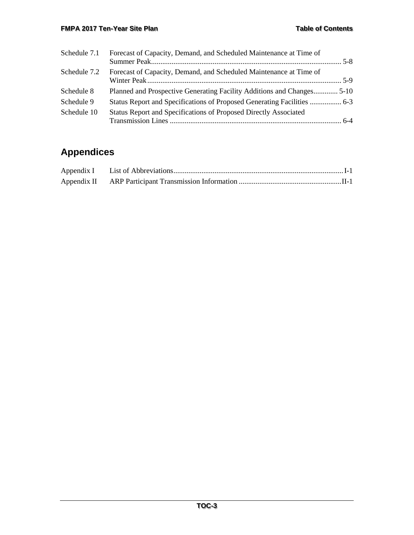#### **FMPA 2017 Ten-Year Site Plan Contents Contents Contents**

| Schedule 7.1 | Forecast of Capacity, Demand, and Scheduled Maintenance at Time of      |  |
|--------------|-------------------------------------------------------------------------|--|
| Schedule 7.2 | Forecast of Capacity, Demand, and Scheduled Maintenance at Time of      |  |
| Schedule 8   | Planned and Prospective Generating Facility Additions and Changes 5-10  |  |
| Schedule 9   | Status Report and Specifications of Proposed Generating Facilities  6-3 |  |
| Schedule 10  | Status Report and Specifications of Proposed Directly Associated        |  |

# **Appendices**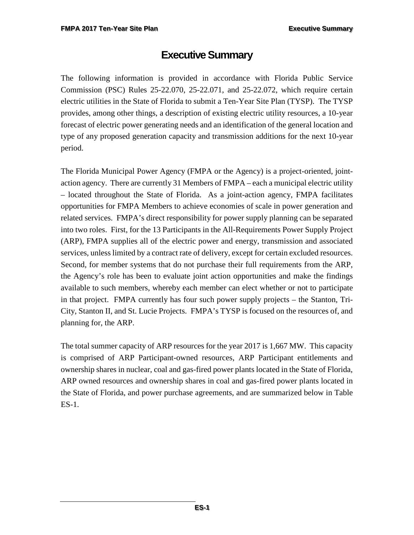# **Executive Summary**

<span id="page-5-0"></span>The following information is provided in accordance with Florida Public Service Commission (PSC) Rules 25-22.070, 25-22.071, and 25-22.072, which require certain electric utilities in the State of Florida to submit a Ten-Year Site Plan (TYSP). The TYSP provides, among other things, a description of existing electric utility resources, a 10-year forecast of electric power generating needs and an identification of the general location and type of any proposed generation capacity and transmission additions for the next 10-year period.

The Florida Municipal Power Agency (FMPA or the Agency) is a project-oriented, jointaction agency. There are currently 31 Members of FMPA – each a municipal electric utility – located throughout the State of Florida. As a joint-action agency, FMPA facilitates opportunities for FMPA Members to achieve economies of scale in power generation and related services. FMPA's direct responsibility for power supply planning can be separated into two roles. First, for the 13 Participants in the All-Requirements Power Supply Project (ARP), FMPA supplies all of the electric power and energy, transmission and associated services, unless limited by a contract rate of delivery, except for certain excluded resources. Second, for member systems that do not purchase their full requirements from the ARP, the Agency's role has been to evaluate joint action opportunities and make the findings available to such members, whereby each member can elect whether or not to participate in that project. FMPA currently has four such power supply projects – the Stanton, Tri-City, Stanton II, and St. Lucie Projects. FMPA's TYSP is focused on the resources of, and planning for, the ARP.

The total summer capacity of ARP resources for the year 2017 is 1,667 MW. This capacity is comprised of ARP Participant-owned resources, ARP Participant entitlements and ownership shares in nuclear, coal and gas-fired power plants located in the State of Florida, ARP owned resources and ownership shares in coal and gas-fired power plants located in the State of Florida, and power purchase agreements, and are summarized below in Table ES-1.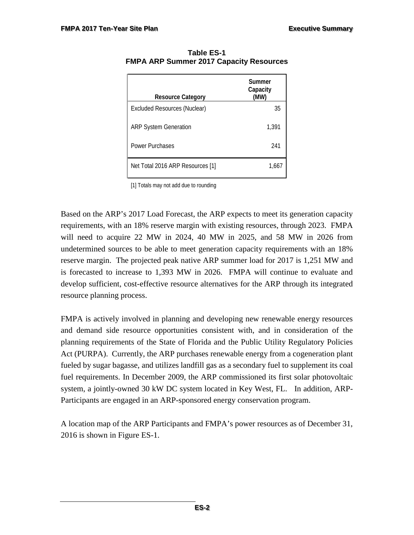| <b>Resource Category</b>         | Summer<br>Capacity<br>(MW) |
|----------------------------------|----------------------------|
| Excluded Resources (Nuclear)     | 35                         |
| <b>ARP System Generation</b>     | 1,391                      |
| <b>Power Purchases</b>           | 241                        |
| Net Total 2016 ARP Resources [1] | 1.667                      |

<span id="page-6-0"></span>**Table ES-1 FMPA ARP Summer 2017 Capacity Resources** 

[1] Totals may not add due to rounding

Based on the ARP's 2017 Load Forecast, the ARP expects to meet its generation capacity requirements, with an 18% reserve margin with existing resources, through 2023. FMPA will need to acquire 22 MW in 2024, 40 MW in 2025, and 58 MW in 2026 from undetermined sources to be able to meet generation capacity requirements with an 18% reserve margin. The projected peak native ARP summer load for 2017 is 1,251 MW and is forecasted to increase to 1,393 MW in 2026. FMPA will continue to evaluate and develop sufficient, cost-effective resource alternatives for the ARP through its integrated resource planning process.

FMPA is actively involved in planning and developing new renewable energy resources and demand side resource opportunities consistent with, and in consideration of the planning requirements of the State of Florida and the Public Utility Regulatory Policies Act (PURPA). Currently, the ARP purchases renewable energy from a cogeneration plant fueled by sugar bagasse, and utilizes landfill gas as a secondary fuel to supplement its coal fuel requirements. In December 2009, the ARP commissioned its first solar photovoltaic system, a jointly-owned 30 kW DC system located in Key West, FL. In addition, ARP-Participants are engaged in an ARP-sponsored energy conservation program.

A location map of the ARP Participants and FMPA's power resources as of December 31, 2016 is shown in Figure ES-1.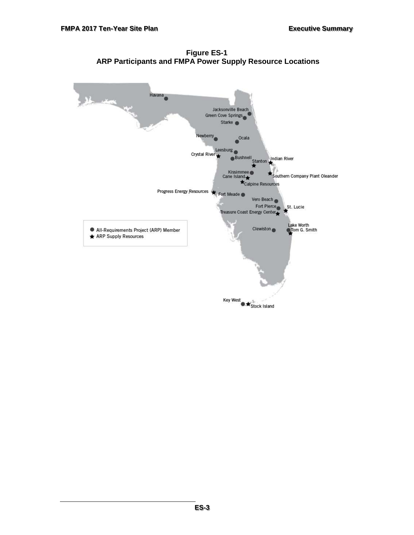**Figure ES-1 ARP Participants and FMPA Power Supply Resource Locations**

<span id="page-7-0"></span>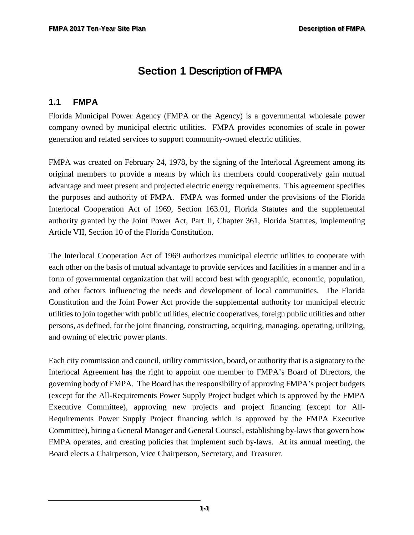# <span id="page-8-0"></span>**Section 1 Description of FMPA**

#### <span id="page-8-1"></span>**1.1 FMPA**

Florida Municipal Power Agency (FMPA or the Agency) is a governmental wholesale power company owned by municipal electric utilities. FMPA provides economies of scale in power generation and related services to support community-owned electric utilities.

FMPA was created on February 24, 1978, by the signing of the Interlocal Agreement among its original members to provide a means by which its members could cooperatively gain mutual advantage and meet present and projected electric energy requirements. This agreement specifies the purposes and authority of FMPA. FMPA was formed under the provisions of the Florida Interlocal Cooperation Act of 1969, Section 163.01, Florida Statutes and the supplemental authority granted by the Joint Power Act, Part II, Chapter 361, Florida Statutes, implementing Article VII, Section 10 of the Florida Constitution.

The Interlocal Cooperation Act of 1969 authorizes municipal electric utilities to cooperate with each other on the basis of mutual advantage to provide services and facilities in a manner and in a form of governmental organization that will accord best with geographic, economic, population, and other factors influencing the needs and development of local communities. The Florida Constitution and the Joint Power Act provide the supplemental authority for municipal electric utilities to join together with public utilities, electric cooperatives, foreign public utilities and other persons, as defined, for the joint financing, constructing, acquiring, managing, operating, utilizing, and owning of electric power plants.

Each city commission and council, utility commission, board, or authority that is a signatory to the Interlocal Agreement has the right to appoint one member to FMPA's Board of Directors, the governing body of FMPA. The Board has the responsibility of approving FMPA's project budgets (except for the All-Requirements Power Supply Project budget which is approved by the FMPA Executive Committee), approving new projects and project financing (except for All-Requirements Power Supply Project financing which is approved by the FMPA Executive Committee), hiring a General Manager and General Counsel, establishing by-laws that govern how FMPA operates, and creating policies that implement such by-laws. At its annual meeting, the Board elects a Chairperson, Vice Chairperson, Secretary, and Treasurer.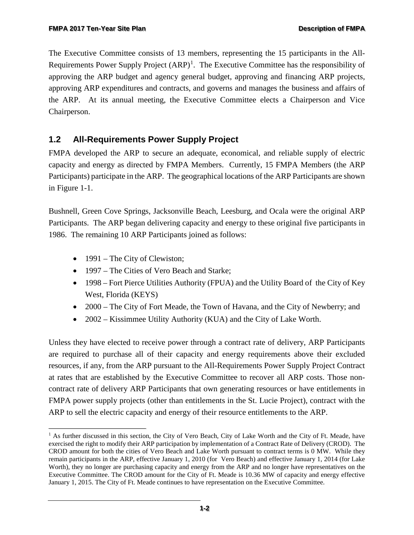The Executive Committee consists of 13 members, representing the 15 participants in the All-Requirements Power Supply Project  $(ARP)^1$  $(ARP)^1$ . The Executive Committee has the responsibility of approving the ARP budget and agency general budget, approving and financing ARP projects, approving ARP expenditures and contracts, and governs and manages the business and affairs of the ARP. At its annual meeting, the Executive Committee elects a Chairperson and Vice Chairperson.

## <span id="page-9-0"></span>**1.2 All-Requirements Power Supply Project**

FMPA developed the ARP to secure an adequate, economical, and reliable supply of electric capacity and energy as directed by FMPA Members. Currently, 15 FMPA Members (the ARP Participants) participate in the ARP. The geographical locations of the ARP Participants are shown in Figure 1-1.

Bushnell, Green Cove Springs, Jacksonville Beach, Leesburg, and Ocala were the original ARP Participants. The ARP began delivering capacity and energy to these original five participants in 1986. The remaining 10 ARP Participants joined as follows:

- 1991 The City of Clewiston;
- 1997 The Cities of Vero Beach and Starke;
- 1998 Fort Pierce Utilities Authority (FPUA) and the Utility Board of the City of Key West, Florida (KEYS)
- 2000 The City of Fort Meade, the Town of Havana, and the City of Newberry; and
- 2002 Kissimmee Utility Authority (KUA) and the City of Lake Worth.

Unless they have elected to receive power through a contract rate of delivery, ARP Participants are required to purchase all of their capacity and energy requirements above their excluded resources, if any, from the ARP pursuant to the All-Requirements Power Supply Project Contract at rates that are established by the Executive Committee to recover all ARP costs. Those noncontract rate of delivery ARP Participants that own generating resources or have entitlements in FMPA power supply projects (other than entitlements in the St. Lucie Project), contract with the ARP to sell the electric capacity and energy of their resource entitlements to the ARP.

<span id="page-9-1"></span>f <sup>1</sup> As further discussed in this section, the City of Vero Beach, City of Lake Worth and the City of Ft. Meade, have exercised the right to modify their ARP participation by implementation of a Contract Rate of Delivery (CROD). The CROD amount for both the cities of Vero Beach and Lake Worth pursuant to contract terms is 0 MW. While they remain participants in the ARP, effective January 1, 2010 (for Vero Beach) and effective January 1, 2014 (for Lake Worth), they no longer are purchasing capacity and energy from the ARP and no longer have representatives on the Executive Committee. The CROD amount for the City of Ft. Meade is 10.36 MW of capacity and energy effective January 1, 2015. The City of Ft. Meade continues to have representation on the Executive Committee.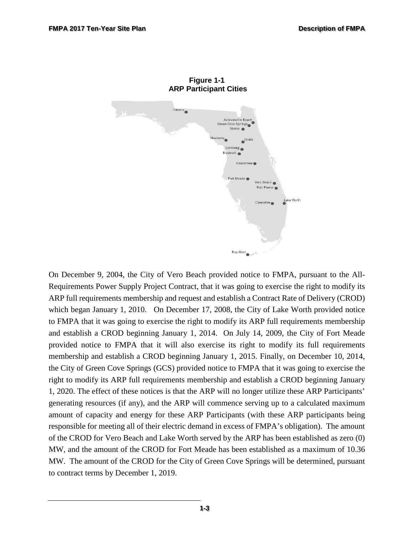<span id="page-10-0"></span>

**Figure 1-1 ARP Participant Cities**

On December 9, 2004, the City of Vero Beach provided notice to FMPA, pursuant to the All-Requirements Power Supply Project Contract, that it was going to exercise the right to modify its ARP full requirements membership and request and establish a Contract Rate of Delivery (CROD) which began January 1, 2010. On December 17, 2008, the City of Lake Worth provided notice to FMPA that it was going to exercise the right to modify its ARP full requirements membership and establish a CROD beginning January 1, 2014. On July 14, 2009, the City of Fort Meade provided notice to FMPA that it will also exercise its right to modify its full requirements membership and establish a CROD beginning January 1, 2015. Finally, on December 10, 2014, the City of Green Cove Springs (GCS) provided notice to FMPA that it was going to exercise the right to modify its ARP full requirements membership and establish a CROD beginning January 1, 2020. The effect of these notices is that the ARP will no longer utilize these ARP Participants' generating resources (if any), and the ARP will commence serving up to a calculated maximum amount of capacity and energy for these ARP Participants (with these ARP participants being responsible for meeting all of their electric demand in excess of FMPA's obligation). The amount of the CROD for Vero Beach and Lake Worth served by the ARP has been established as zero (0) MW, and the amount of the CROD for Fort Meade has been established as a maximum of 10.36 MW. The amount of the CROD for the City of Green Cove Springs will be determined, pursuant to contract terms by December 1, 2019.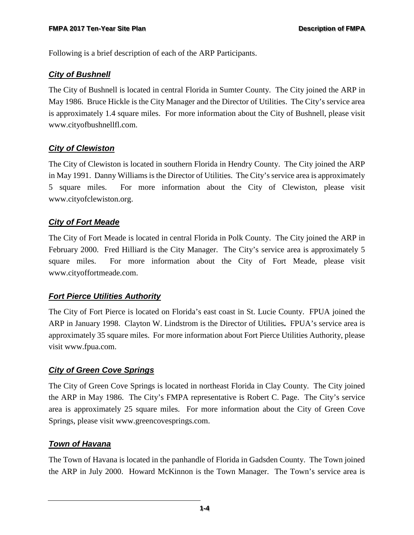Following is a brief description of each of the ARP Participants.

#### *City of Bushnell*

The City of Bushnell is located in central Florida in Sumter County. The City joined the ARP in May 1986. Bruce Hickle is the City Manager and the Director of Utilities. The City's service area is approximately 1.4 square miles. For more information about the City of Bushnell, please visit www[.cityofbushnellfl.com.](http://www.cityofnewberryfl.com/)

#### *City of Clewiston*

The City of Clewiston is located in southern Florida in Hendry County. The City joined the ARP in May 1991. Danny Williams is the Director of Utilities. The City's service area is approximately 5 square miles. For more information about the City of Clewiston, please visit [www.cityo](http://www.clewiston-fl.gov/)fclewiston.org.

#### *City of Fort Meade*

The City of Fort Meade is located in central Florida in Polk County. The City joined the ARP in February 2000. Fred Hilliard is the City Manager. The City's service area is approximately 5 square miles. For more information about the City of Fort Meade, please visit [www.cityoffortmeade.com.](http://www.state.fl.us/ftmeade/)

#### *Fort Pierce Utilities Authority*

The City of Fort Pierce is located on Florida's east coast in St. Lucie County. FPUA joined the ARP in January 1998. Clayton W. Lindstrom is the Director of Utilities**.** FPUA's service area is approximately 35 square miles. For more information about Fort Pierce Utilities Authority, please visit [www.fpua.com.](http://www.fpua.com/)

#### *City of Green Cove Springs*

The City of Green Cove Springs is located in northeast Florida in Clay County. The City joined the ARP in May 1986. The City's FMPA representative is Robert C. Page. The City's service area is approximately 25 square miles. For more information about the City of Green Cove Springs, please visit [www.greencovesprings.com.](http://www.greencovesprings.com/)

#### *Town of Havana*

The Town of Havana is located in the panhandle of Florida in Gadsden County. The Town joined the ARP in July 2000. Howard McKinnon is the Town Manager. The Town's service area is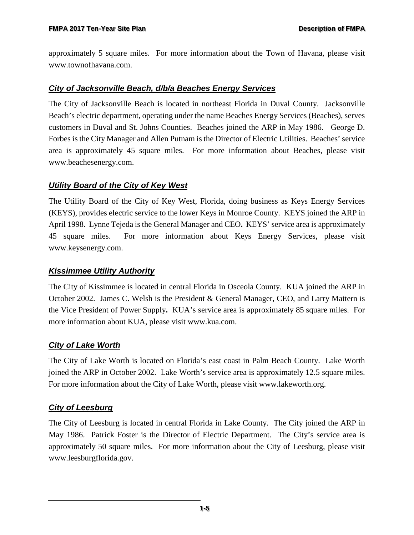approximately 5 square miles. For more information about the Town of Havana, please visit [www.townofhavana.com.](http://www.havanaflorida.com/)

#### *City of Jacksonville Beach, d/b/a Beaches Energy Services*

The City of Jacksonville Beach is located in northeast Florida in Duval County. Jacksonville Beach's electric department, operating under the name Beaches Energy Services (Beaches), serves customers in Duval and St. Johns Counties. Beaches joined the ARP in May 1986. George D. Forbes is the City Manager and Allen Putnam is the Director of Electric Utilities. Beaches' service area is approximately 45 square miles. For more information about Beaches, please visit [www.beachesenergy.com.](http://www.beachesenergy.com/)

#### *Utility Board of the City of Key West*

The Utility Board of the City of Key West, Florida, doing business as Keys Energy Services (KEYS), provides electric service to the lower Keys in Monroe County. KEYS joined the ARP in April 1998. Lynne Tejeda is the General Manager and CEO**.** KEYS' service area is approximately 45 square miles. For more information about Keys Energy Services, please visit [www.keysenergy.com.](http://www.keysenergy.com/)

#### *Kissimmee Utility Authority*

The City of Kissimmee is located in central Florida in Osceola County. KUA joined the ARP in October 2002. James C. Welsh is the President & General Manager, CEO, and Larry Mattern is the Vice President of Power Supply**.** KUA's service area is approximately 85 square miles. For more information about KUA, please visit [www.kua.com.](http://www.kua.com/)

#### *City of Lake Worth*

The City of Lake Worth is located on Florida's east coast in Palm Beach County. Lake Worth joined the ARP in October 2002. Lake Worth's service area is approximately 12.5 square miles. For more information about the City of Lake Worth, please visit [www.lakeworth.org.](http://www.lakeworth.org/)

#### *City of Leesburg*

The City of Leesburg is located in central Florida in Lake County. The City joined the ARP in May 1986. Patrick Foster is the Director of Electric Department. The City's service area is approximately 50 square miles. For more information about the City of Leesburg, please visit [www.leesburgflorida.gov.](http://www.leesburgflorida.gov/)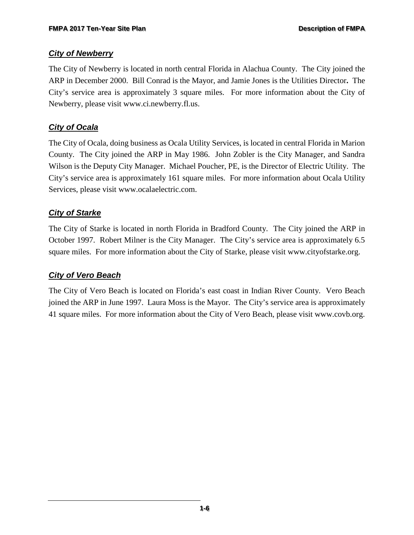#### *City of Newberry*

The City of Newberry is located in north central Florida in Alachua County. The City joined the ARP in December 2000. Bill Conrad is the Mayor, and Jamie Jones is the Utilities Director**.** The City's service area is approximately 3 square miles. For more information about the City of Newberry, please visit [www.ci.newberry.fl.us.](http://www.cityofnewberryfl.com/)

#### *City of Ocala*

The City of Ocala, doing business as Ocala Utility Services, is located in central Florida in Marion County. The City joined the ARP in May 1986. John Zobler is the City Manager, and Sandra Wilson is the Deputy City Manager.Michael Poucher, PE, is the Director of Electric Utility. The City's service area is approximately 161 square miles. For more information about Ocala Utility Services, please visit [www.ocalaelectric.com.](http://www.ocalafl.org/)

#### *City of Starke*

The City of Starke is located in north Florida in Bradford County. The City joined the ARP in October 1997. Robert Milner is the City Manager. The City's service area is approximately 6.5 square miles. For more information about the City of Starke, please visit [www.cityofstarke.org.](http://www.cityofstarke.org/)

#### *City of Vero Beach*

The City of Vero Beach is located on Florida's east coast in Indian River County. Vero Beach joined the ARP in June 1997. Laura Moss is the Mayor. The City's service area is approximately 41 square miles. For more information about the City of Vero Beach, please visit [www.covb.org.](http://www.covb.org/)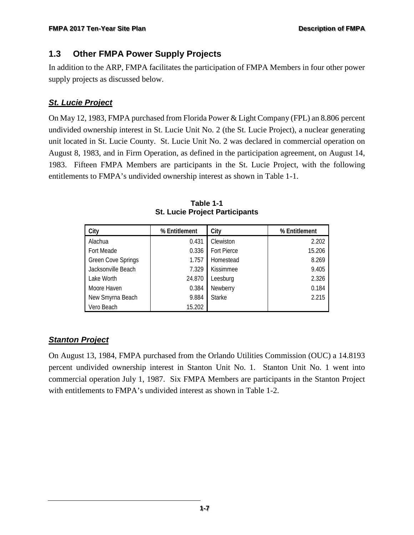#### <span id="page-14-0"></span>**1.3 Other FMPA Power Supply Projects**

In addition to the ARP, FMPA facilitates the participation of FMPA Members in four other power supply projects as discussed below.

#### *St. Lucie Project*

On May 12, 1983, FMPA purchased from Florida Power & Light Company (FPL) an 8.806 percent undivided ownership interest in St. Lucie Unit No. 2 (the St. Lucie Project), a nuclear generating unit located in St. Lucie County. St. Lucie Unit No. 2 was declared in commercial operation on August 8, 1983, and in Firm Operation, as defined in the participation agreement, on August 14, 1983. Fifteen FMPA Members are participants in the St. Lucie Project, with the following entitlements to FMPA's undivided ownership interest as shown in Table 1-1.

<span id="page-14-1"></span>

| City                      | % Entitlement | City             | % Entitlement |  |
|---------------------------|---------------|------------------|---------------|--|
| Alachua                   | 0.431         | Clewiston        | 2.202         |  |
| Fort Meade                | 0.336         | Fort Pierce      | 15.206        |  |
| <b>Green Cove Springs</b> | 1.757         | Homestead        | 8.269         |  |
| Jacksonville Beach        | 7.329         | <b>Kissimmee</b> | 9.405         |  |
| Lake Worth                | 24.870        | Leesburg         | 2.326         |  |
| Moore Haven               | 0.384         | Newberry         | 0.184         |  |
| New Smyrna Beach          | 9.884         | <b>Starke</b>    | 2.215         |  |
| Vero Beach                | 15.202        |                  |               |  |

**Table 1-1 St. Lucie Project Participants**

## *Stanton Project*

On August 13, 1984, FMPA purchased from the Orlando Utilities Commission (OUC) a 14.8193 percent undivided ownership interest in Stanton Unit No. 1. Stanton Unit No. 1 went into commercial operation July 1, 1987. Six FMPA Members are participants in the Stanton Project with entitlements to FMPA's undivided interest as shown in Table 1-2.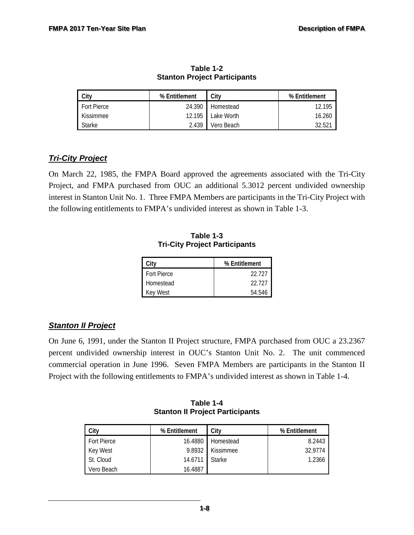<span id="page-15-0"></span>

| City               | % Entitlement | City       | % Entitlement      |
|--------------------|---------------|------------|--------------------|
| <b>Fort Pierce</b> | 24.390        | Homestead  | 12.195             |
| Kissimmee          | 12.195        | Lake Worth | 16.260             |
| <b>Starke</b>      | 2.439         | Vero Beach | 32.52 <sup>-</sup> |

**Table 1-2 Stanton Project Participants**

#### *Tri-City Project*

<span id="page-15-1"></span>On March 22, 1985, the FMPA Board approved the agreements associated with the Tri-City Project, and FMPA purchased from OUC an additional 5.3012 percent undivided ownership interest in Stanton Unit No. 1. Three FMPA Members are participants in the Tri-City Project with the following entitlements to FMPA's undivided interest as shown in Table 1-3.

| Citv               | % Entitlement |
|--------------------|---------------|
| <b>Fort Pierce</b> | 22 727        |
| Homestead          | 22.727        |
| <b>Key West</b>    | 54 546        |

**Table 1-3 Tri-City Project Participants**

#### *Stanton II Project*

On June 6, 1991, under the Stanton II Project structure, FMPA purchased from OUC a 23.2367 percent undivided ownership interest in OUC's Stanton Unit No. 2. The unit commenced commercial operation in June 1996. Seven FMPA Members are participants in the Stanton II Project with the following entitlements to FMPA's undivided interest as shown in Table 1-4.

<span id="page-15-2"></span>

| City               | % Entitlement | City              | % Entitlement |
|--------------------|---------------|-------------------|---------------|
| <b>Fort Pierce</b> |               | 16.4880 Homestead | 8.2443        |
| Key West           | 9.8932        | Kissimmee         | 32.9774       |
| St. Cloud          | 14.6711       | <b>Starke</b>     | 1.2366        |
| Vero Beach         | 16.4887       |                   |               |

**Table 1-4 Stanton II Project Participants**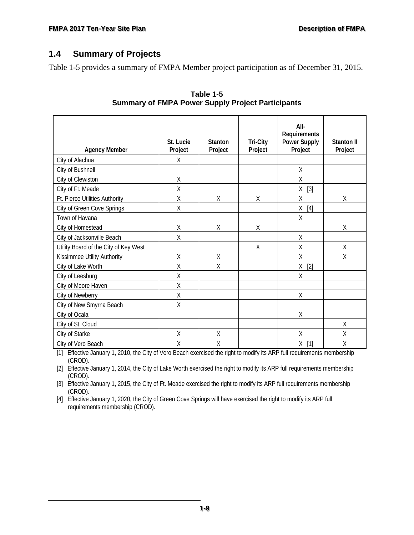#### <span id="page-16-0"></span>**1.4 Summary of Projects**

<span id="page-16-1"></span>Table 1-5 provides a summary of FMPA Member project participation as of December 31, 2015.

| <b>Agency Member</b>                  | St. Lucie<br>Project | <b>Stanton</b><br>Project | <b>Tri-City</b><br>Project | All-<br>Requirements<br><b>Power Supply</b><br>Project | Stanton II<br>Project |
|---------------------------------------|----------------------|---------------------------|----------------------------|--------------------------------------------------------|-----------------------|
| City of Alachua                       | X                    |                           |                            |                                                        |                       |
| City of Bushnell                      |                      |                           |                            | $\sf X$                                                |                       |
| City of Clewiston                     | Χ                    |                           |                            | X                                                      |                       |
| City of Ft. Meade                     | Χ                    |                           |                            | $[3]$<br>X                                             |                       |
| Ft. Pierce Utilities Authority        | Χ                    | Χ                         | $\chi$                     | X                                                      | χ                     |
| City of Green Cove Springs            | Χ                    |                           |                            | Χ<br>$[4]$                                             |                       |
| Town of Havana                        |                      |                           |                            | Χ                                                      |                       |
| City of Homestead                     | Χ                    | Χ                         | χ                          |                                                        | χ                     |
| City of Jacksonville Beach            | Χ                    |                           |                            | Χ                                                      |                       |
| Utility Board of the City of Key West |                      |                           | X                          | X                                                      | $\sf X$               |
| Kissimmee Utility Authority           | X                    | X                         |                            | X                                                      | Χ                     |
| City of Lake Worth                    | X                    | Χ                         |                            | χ<br>$[2]$                                             |                       |
| City of Leesburg                      | X                    |                           |                            | Χ                                                      |                       |
| City of Moore Haven                   | Χ                    |                           |                            |                                                        |                       |
| City of Newberry                      | Χ                    |                           |                            | Χ                                                      |                       |
| City of New Smyrna Beach              | Χ                    |                           |                            |                                                        |                       |
| City of Ocala                         |                      |                           |                            | Χ                                                      |                       |
| City of St. Cloud                     |                      |                           |                            |                                                        | X                     |
| City of Starke                        | Χ                    | X                         |                            | X                                                      | X                     |
| City of Vero Beach                    | Χ                    | Χ                         |                            | $[1]$<br>Χ                                             | Χ                     |

**Table 1-5 Summary of FMPA Power Supply Project Participants**

[1] Effective January 1, 2010, the City of Vero Beach exercised the right to modify its ARP full requirements membership (CROD).

[2] Effective January 1, 2014, the City of Lake Worth exercised the right to modify its ARP full requirements membership (CROD).

[3] Effective January 1, 2015, the City of Ft. Meade exercised the right to modify its ARP full requirements membership (CROD).

[4] Effective January 1, 2020, the City of Green Cove Springs will have exercised the right to modify its ARP full requirements membership (CROD).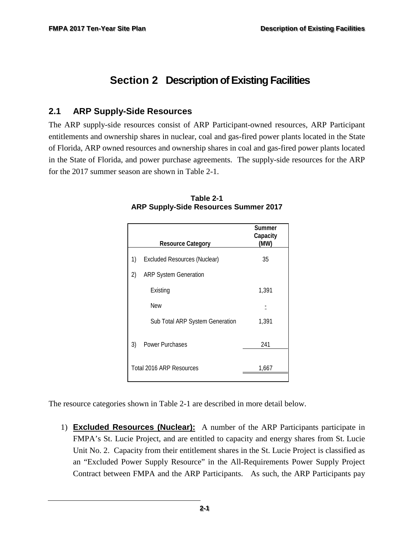# <span id="page-17-0"></span>**Section 2 Description of Existing Facilities**

#### <span id="page-17-1"></span>**2.1 ARP Supply-Side Resources**

<span id="page-17-2"></span>The ARP supply-side resources consist of ARP Participant-owned resources, ARP Participant entitlements and ownership shares in nuclear, coal and gas-fired power plants located in the State of Florida, ARP owned resources and ownership shares in coal and gas-fired power plants located in the State of Florida, and power purchase agreements. The supply-side resources for the ARP for the 2017 summer season are shown in Table 2-1.

|    | <b>Resource Category</b>            | Summer<br>Capacity<br>(MW) |
|----|-------------------------------------|----------------------------|
| 1) | <b>Excluded Resources (Nuclear)</b> | 35                         |
| 2) | <b>ARP System Generation</b>        |                            |
|    | Existing                            | 1,391                      |
|    | <b>New</b>                          |                            |
|    | Sub Total ARP System Generation     | 1,391                      |
| 3) | <b>Power Purchases</b>              | 241                        |
|    |                                     |                            |
|    | Total 2016 ARP Resources            | 1,667                      |

**Table 2-1 ARP Supply-Side Resources Summer 2017** 

The resource categories shown in Table 2-1 are described in more detail below.

1) **Excluded Resources (Nuclear):** A number of the ARP Participants participate in FMPA's St. Lucie Project, and are entitled to capacity and energy shares from St. Lucie Unit No. 2. Capacity from their entitlement shares in the St. Lucie Project is classified as an "Excluded Power Supply Resource" in the All-Requirements Power Supply Project Contract between FMPA and the ARP Participants. As such, the ARP Participants pay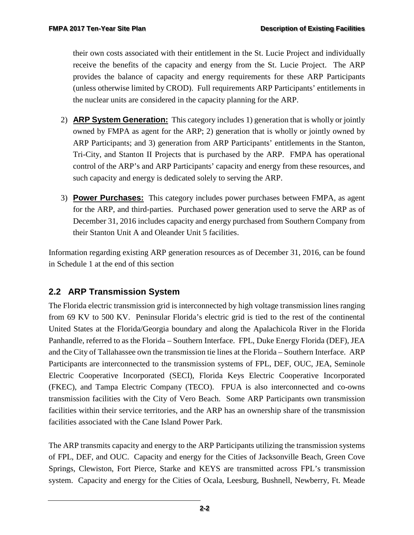their own costs associated with their entitlement in the St. Lucie Project and individually receive the benefits of the capacity and energy from the St. Lucie Project. The ARP provides the balance of capacity and energy requirements for these ARP Participants (unless otherwise limited by CROD). Full requirements ARP Participants' entitlements in the nuclear units are considered in the capacity planning for the ARP.

- 2) **ARP System Generation:** This category includes 1) generation that is wholly or jointly owned by FMPA as agent for the ARP; 2) generation that is wholly or jointly owned by ARP Participants; and 3) generation from ARP Participants' entitlements in the Stanton, Tri-City, and Stanton II Projects that is purchased by the ARP. FMPA has operational control of the ARP's and ARP Participants' capacity and energy from these resources, and such capacity and energy is dedicated solely to serving the ARP.
- 3) **Power Purchases:** This category includes power purchases between FMPA, as agent for the ARP, and third-parties. Purchased power generation used to serve the ARP as of December 31, 2016 includes capacity and energy purchased from Southern Company from their Stanton Unit A and Oleander Unit 5 facilities.

Information regarding existing ARP generation resources as of December 31, 2016, can be found in Schedule 1 at the end of this section

## <span id="page-18-0"></span>**2.2 ARP Transmission System**

The Florida electric transmission grid is interconnected by high voltage transmission lines ranging from 69 KV to 500 KV. Peninsular Florida's electric grid is tied to the rest of the continental United States at the Florida/Georgia boundary and along the Apalachicola River in the Florida Panhandle, referred to as the Florida – Southern Interface. FPL, Duke Energy Florida (DEF), JEA and the City of Tallahassee own the transmission tie lines at the Florida – Southern Interface. ARP Participants are interconnected to the transmission systems of FPL, DEF, OUC, JEA, Seminole Electric Cooperative Incorporated (SECI), Florida Keys Electric Cooperative Incorporated (FKEC), and Tampa Electric Company (TECO). FPUA is also interconnected and co-owns transmission facilities with the City of Vero Beach. Some ARP Participants own transmission facilities within their service territories, and the ARP has an ownership share of the transmission facilities associated with the Cane Island Power Park.

The ARP transmits capacity and energy to the ARP Participants utilizing the transmission systems of FPL, DEF, and OUC. Capacity and energy for the Cities of Jacksonville Beach, Green Cove Springs, Clewiston, Fort Pierce, Starke and KEYS are transmitted across FPL's transmission system. Capacity and energy for the Cities of Ocala, Leesburg, Bushnell, Newberry, Ft. Meade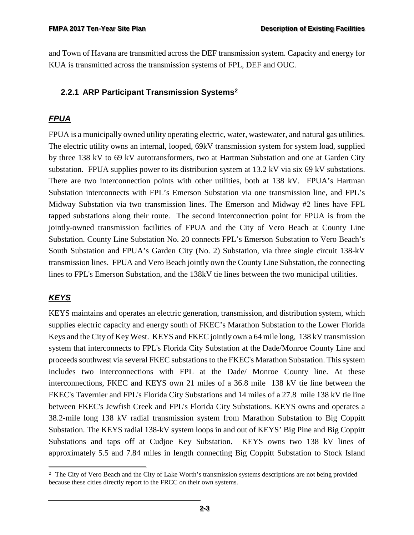and Town of Havana are transmitted across the DEF transmission system. Capacity and energy for KUA is transmitted across the transmission systems of FPL, DEF and OUC.

#### <span id="page-19-0"></span>**2.2.1 ARP Participant Transmission Systems[2](#page-19-1)**

## *FPUA*

FPUA is a municipally owned utility operating electric, water, wastewater, and natural gas utilities. The electric utility owns an internal, looped, 69kV transmission system for system load, supplied by three 138 kV to 69 kV autotransformers, two at Hartman Substation and one at Garden City substation. FPUA supplies power to its distribution system at 13.2 kV via six 69 kV substations. There are two interconnection points with other utilities, both at 138 kV. FPUA's Hartman Substation interconnects with FPL's Emerson Substation via one transmission line, and FPL's Midway Substation via two transmission lines. The Emerson and Midway #2 lines have FPL tapped substations along their route. The second interconnection point for FPUA is from the jointly-owned transmission facilities of FPUA and the City of Vero Beach at County Line Substation. County Line Substation No. 20 connects FPL's Emerson Substation to Vero Beach's South Substation and FPUA's Garden City (No. 2) Substation, via three single circuit 138-kV transmission lines. FPUA and Vero Beach jointly own the County Line Substation, the connecting lines to FPL's Emerson Substation, and the 138kV tie lines between the two municipal utilities.

#### *KEYS*

KEYS maintains and operates an electric generation, transmission, and distribution system, which supplies electric capacity and energy south of FKEC's Marathon Substation to the Lower Florida Keys and the City of Key West. KEYS and FKEC jointly own a 64 mile long, 138 kV transmission system that interconnects to FPL's Florida City Substation at the Dade/Monroe County Line and proceeds southwest via several FKEC substations to the FKEC's Marathon Substation. This system includes two interconnections with FPL at the Dade/ Monroe County line. At these interconnections, FKEC and KEYS own 21 miles of a 36.8 mile 138 kV tie line between the FKEC's Tavernier and FPL's Florida City Substations and 14 miles of a 27.8 mile 138 kV tie line between FKEC's Jewfish Creek and FPL's Florida City Substations. KEYS owns and operates a 38.2-mile long 138 kV radial transmission system from Marathon Substation to Big Coppitt Substation. The KEYS radial 138-kV system loops in and out of KEYS' Big Pine and Big Coppitt Substations and taps off at Cudjoe Key Substation. KEYS owns two 138 kV lines of approximately 5.5 and 7.84 miles in length connecting Big Coppitt Substation to Stock Island

<span id="page-19-1"></span>f <sup>2</sup> The City of Vero Beach and the City of Lake Worth's transmission systems descriptions are not being provided because these cities directly report to the FRCC on their own systems.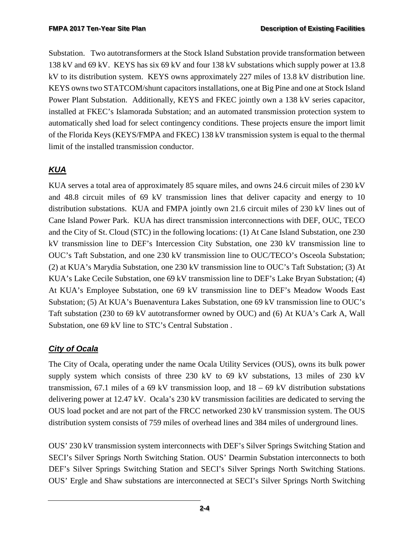Substation. Two autotransformers at the Stock Island Substation provide transformation between 138 kV and 69 kV. KEYS has six 69 kV and four 138 kV substations which supply power at 13.8 kV to its distribution system. KEYS owns approximately 227 miles of 13.8 kV distribution line. KEYS owns two STATCOM/shunt capacitors installations, one at Big Pine and one at Stock Island Power Plant Substation. Additionally, KEYS and FKEC jointly own a 138 kV series capacitor, installed at FKEC's Islamorada Substation; and an automated transmission protection system to automatically shed load for select contingency conditions. These projects ensure the import limit of the Florida Keys (KEYS/FMPA and FKEC) 138 kV transmission system is equal to the thermal limit of the installed transmission conductor.

## *KUA*

KUA serves a total area of approximately 85 square miles, and owns 24.6 circuit miles of 230 kV and 48.8 circuit miles of 69 kV transmission lines that deliver capacity and energy to 10 distribution substations. KUA and FMPA jointly own 21.6 circuit miles of 230 kV lines out of Cane Island Power Park. KUA has direct transmission interconnections with DEF, OUC, TECO and the City of St. Cloud (STC) in the following locations: (1) At Cane Island Substation, one 230 kV transmission line to DEF's Intercession City Substation, one 230 kV transmission line to OUC's Taft Substation, and one 230 kV transmission line to OUC/TECO's Osceola Substation; (2) at KUA's Marydia Substation, one 230 kV transmission line to OUC's Taft Substation; (3) At KUA's Lake Cecile Substation, one 69 kV transmission line to DEF's Lake Bryan Substation; (4) At KUA's Employee Substation, one 69 kV transmission line to DEF's Meadow Woods East Substation; (5) At KUA's Buenaventura Lakes Substation, one 69 kV transmission line to OUC's Taft substation (230 to 69 kV autotransformer owned by OUC) and (6) At KUA's Cark A, Wall Substation, one 69 kV line to STC's Central Substation .

#### *City of Ocala*

The City of Ocala, operating under the name Ocala Utility Services (OUS), owns its bulk power supply system which consists of three 230 kV to 69 kV substations, 13 miles of 230 kV transmission, 67.1 miles of a 69 kV transmission loop, and  $18 - 69$  kV distribution substations delivering power at 12.47 kV. Ocala's 230 kV transmission facilities are dedicated to serving the OUS load pocket and are not part of the FRCC networked 230 kV transmission system. The OUS distribution system consists of 759 miles of overhead lines and 384 miles of underground lines.

OUS' 230 kV transmission system interconnects with DEF's Silver Springs Switching Station and SECI's Silver Springs North Switching Station. OUS' Dearmin Substation interconnects to both DEF's Silver Springs Switching Station and SECI's Silver Springs North Switching Stations. OUS' Ergle and Shaw substations are interconnected at SECI's Silver Springs North Switching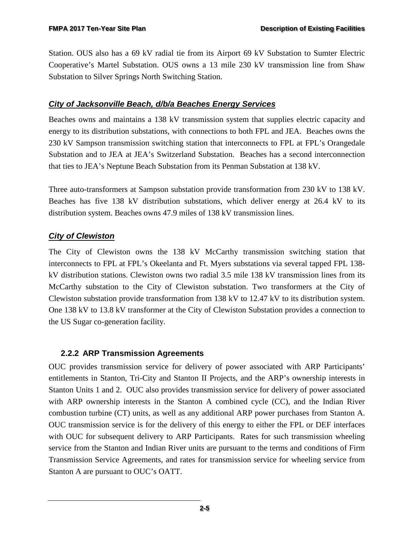Station. OUS also has a 69 kV radial tie from its Airport 69 kV Substation to Sumter Electric Cooperative's Martel Substation. OUS owns a 13 mile 230 kV transmission line from Shaw Substation to Silver Springs North Switching Station.

#### *City of Jacksonville Beach, d/b/a Beaches Energy Services*

Beaches owns and maintains a 138 kV transmission system that supplies electric capacity and energy to its distribution substations, with connections to both FPL and JEA. Beaches owns the 230 kV Sampson transmission switching station that interconnects to FPL at FPL's Orangedale Substation and to JEA at JEA's Switzerland Substation. Beaches has a second interconnection that ties to JEA's Neptune Beach Substation from its Penman Substation at 138 kV.

Three auto-transformers at Sampson substation provide transformation from 230 kV to 138 kV. Beaches has five 138 kV distribution substations, which deliver energy at 26.4 kV to its distribution system. Beaches owns 47.9 miles of 138 kV transmission lines.

#### *City of Clewiston*

The City of Clewiston owns the 138 kV McCarthy transmission switching station that interconnects to FPL at FPL's Okeelanta and Ft. Myers substations via several tapped FPL 138 kV distribution stations. Clewiston owns two radial 3.5 mile 138 kV transmission lines from its McCarthy substation to the City of Clewiston substation. Two transformers at the City of Clewiston substation provide transformation from 138 kV to 12.47 kV to its distribution system. One 138 kV to 13.8 kV transformer at the City of Clewiston Substation provides a connection to the US Sugar co-generation facility.

#### <span id="page-21-0"></span>**2.2.2 ARP Transmission Agreements**

OUC provides transmission service for delivery of power associated with ARP Participants' entitlements in Stanton, Tri-City and Stanton II Projects, and the ARP's ownership interests in Stanton Units 1 and 2. OUC also provides transmission service for delivery of power associated with ARP ownership interests in the Stanton A combined cycle (CC), and the Indian River combustion turbine (CT) units, as well as any additional ARP power purchases from Stanton A. OUC transmission service is for the delivery of this energy to either the FPL or DEF interfaces with OUC for subsequent delivery to ARP Participants. Rates for such transmission wheeling service from the Stanton and Indian River units are pursuant to the terms and conditions of Firm Transmission Service Agreements, and rates for transmission service for wheeling service from Stanton A are pursuant to OUC's OATT.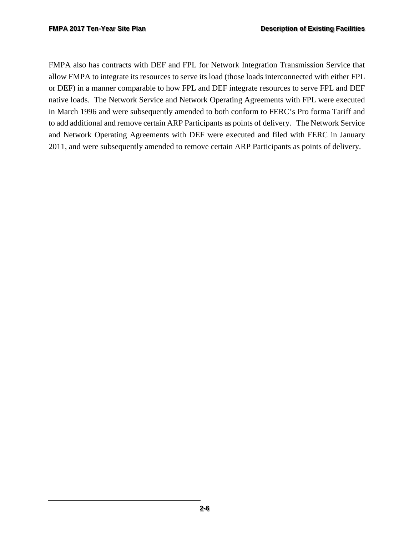FMPA also has contracts with DEF and FPL for Network Integration Transmission Service that allow FMPA to integrate its resources to serve its load (those loads interconnected with either FPL or DEF) in a manner comparable to how FPL and DEF integrate resources to serve FPL and DEF native loads. The Network Service and Network Operating Agreements with FPL were executed in March 1996 and were subsequently amended to both conform to FERC's Pro forma Tariff and to add additional and remove certain ARP Participants as points of delivery. The Network Service and Network Operating Agreements with DEF were executed and filed with FERC in January 2011, and were subsequently amended to remove certain ARP Participants as points of delivery.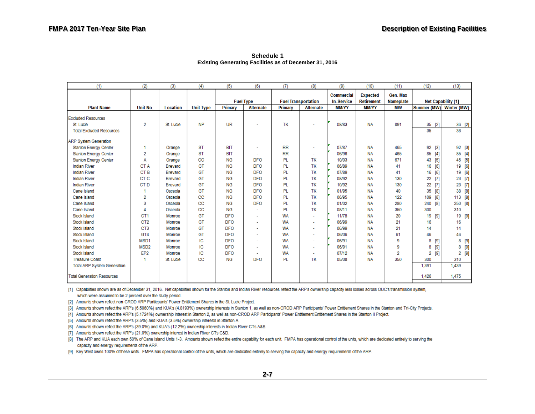| (1)                                | (2)              | (3)             | (4)              | (5)            | (6)                      | (T)                        | (8)                      | (9)                             | (10)                                 | (11)                         | (12)                    | (13)                      |
|------------------------------------|------------------|-----------------|------------------|----------------|--------------------------|----------------------------|--------------------------|---------------------------------|--------------------------------------|------------------------------|-------------------------|---------------------------|
|                                    |                  |                 |                  |                | <b>Fuel Type</b>         | <b>Fuel Transportation</b> |                          | Commercial<br><b>In-Service</b> | <b>Expected</b><br><b>Retirement</b> | Gen. Max<br><b>Nameplate</b> |                         | <b>Net Capability [1]</b> |
| <b>Plant Name</b>                  | Unit No.         | <b>Location</b> | <b>Unit Type</b> | <b>Primary</b> | <b>Alternate</b>         | Primary                    | <b>Alternate</b>         | <b>MM/YY</b>                    | <b>MM/YY</b>                         | <b>MW</b>                    | Summer (MW) Winter (MW) |                           |
| <b>Excluded Resources</b>          |                  |                 |                  |                |                          |                            |                          |                                 |                                      |                              |                         |                           |
| St. Lucie                          | $\overline{2}$   | St. Lucie       | <b>NP</b>        | <b>UR</b>      |                          | TK                         | $\overline{\phantom{a}}$ | 08/83                           | <b>NA</b>                            | 891                          | $35$ [2]                | $36$ [2]                  |
| <b>Total Excluded Resources</b>    |                  |                 |                  |                |                          |                            |                          |                                 |                                      |                              | 35                      | 36                        |
| <b>ARP System Generation</b>       |                  |                 |                  |                |                          |                            |                          |                                 |                                      |                              |                         |                           |
| <b>Stanton Energy Center</b>       |                  | Orange          | <b>ST</b>        | <b>BIT</b>     | $\sim$                   | <b>RR</b>                  | ÷                        | 07/87                           | <b>NA</b>                            | 465                          | 92<br>$[3]$             | 92 [3]                    |
| <b>Stanton Energy Center</b>       | 2                | Orange          | <b>ST</b>        | <b>BIT</b>     |                          | <b>RR</b>                  | ÷                        | 06/96                           | <b>NA</b>                            | 465                          | 85<br>$[4]$             | 85<br>$[4]$               |
| <b>Stanton Energy Center</b>       | Α                | Orange          | <b>CC</b>        | <b>NG</b>      | <b>DFO</b>               | PL                         | TK                       | 10/03                           | <b>NA</b>                            | 671                          | [5]<br>43               | 45<br>$[5]$               |
| <b>Indian River</b>                | CT A             | Brevard         | GT               | <b>NG</b>      | <b>DFO</b>               | PL                         | TK                       | 06/89                           | <b>NA</b>                            | 41                           | [6]<br>16               | 19<br>[6]                 |
| <b>Indian River</b>                | CT <sub>B</sub>  | Brevard         | GT               | <b>NG</b>      | <b>DFO</b>               | <b>PL</b>                  | TK                       | 07/89                           | <b>NA</b>                            | 41                           | [6]<br>16               | 19<br>[6]                 |
| <b>Indian River</b>                | CT <sub>C</sub>  | <b>Brevard</b>  | GT               | <b>NG</b>      | <b>DFO</b>               | PL                         | TK                       | 08/92                           | <b>NA</b>                            | 130                          | 22<br>$[7]$             | 23<br>$[7]$               |
| <b>Indian River</b>                | CT <sub>D</sub>  | Brevard         | GT               | <b>NG</b>      | <b>DFO</b>               | <b>PL</b>                  | TK                       | 10/92                           | <b>NA</b>                            | 130                          | $[7]$<br>22             | 23<br>$[7]$               |
| Cane Island                        |                  | Osceola         | GT               | <b>NG</b>      | <b>DFO</b>               | <b>PL</b>                  | TK                       | 01/95                           | <b>NA</b>                            | 40                           | [8]<br>35               | 38<br>[8]                 |
| Cane Island                        | 2                | Osceola         | CC               | <b>NG</b>      | <b>DFO</b>               | PL                         | TK                       | 06/95                           | <b>NA</b>                            | 122                          | 109<br>[8]              | 113<br>[8]                |
| Cane Island                        | 3                | Osceola         | CC               | <b>NG</b>      | <b>DFO</b>               | <b>PL</b>                  | TK                       | 01/02                           | <b>NA</b>                            | 280                          | 240<br>[8]              | 250<br>[8]                |
| Cane Island                        | 4                | Osceola         | CC               | <b>NG</b>      | $\sim$                   | <b>PL</b>                  | TK                       | 08/11                           | <b>NA</b>                            | 350                          | 300                     | 310                       |
| Stock Island                       | CT <sub>1</sub>  | Monroe          | GT               | <b>DFO</b>     | $\mathbf{r}$             | <b>WA</b>                  | $\overline{\phantom{a}}$ | 11/78                           | <b>NA</b>                            | 20                           | 19<br>[9]               | 19<br>[9]                 |
| Stock Island                       | CT <sub>2</sub>  | Monroe          | GT               | <b>DFO</b>     | $\overline{\phantom{a}}$ | <b>WA</b>                  | $\ddot{\phantom{0}}$     | 06/99                           | <b>NA</b>                            | 21                           | 16                      | 16                        |
| Stock Island                       | CT <sub>3</sub>  | Monroe          | GT               | <b>DFO</b>     | ٠                        | <b>WA</b>                  | ٠                        | 06/99                           | <b>NA</b>                            | 21                           | 14                      | 14                        |
| Stock Island                       | GT4              | Monroe          | GT               | <b>DFO</b>     | $\sim$                   | <b>WA</b>                  | ٠                        | 06/06                           | <b>NA</b>                            | 61                           | 46                      | 46                        |
| Stock Island                       | MSD <sub>1</sub> | Monroe          | IC               | <b>DFO</b>     | ÷                        | <b>WA</b>                  | ÷.                       | 06/91                           | <b>NA</b>                            | 9                            | 8<br>$[9]$              | 8<br>[9]                  |
| Stock Island                       | MSD <sub>2</sub> | Monroe          | IC               | <b>DFO</b>     |                          | <b>WA</b>                  | ٠                        | 06/91                           | <b>NA</b>                            | 9                            | $[9]$<br>8              | $8$ [9]                   |
| Stock Island                       | EP <sub>2</sub>  | Monroe          | IC               | <b>DFO</b>     |                          | <b>WA</b>                  |                          | 07/12                           | <b>NA</b>                            | $\overline{2}$               | $[9]$<br>2              | $2$ [9]                   |
| <b>Treasure Coast</b>              | -1               | St. Lucie       | CC               | <b>NG</b>      | <b>DFO</b>               | <b>PL</b>                  | TK                       | 05/08                           | <b>NA</b>                            | 350                          | 300                     | 310                       |
| <b>Total ARP System Generation</b> |                  |                 |                  |                |                          |                            |                          |                                 |                                      |                              | 1.391                   | 1,439                     |
| <b>Total Generation Resources</b>  |                  |                 |                  |                |                          |                            |                          |                                 |                                      |                              | 1,426                   | 1,475                     |

**Schedule 1 Existing Generating Facilities as of December 31, 2016** 

[1] Capabilities shown are as of December 31, 2016. Net capabilities shown for the Stanton and Indian River resources reflect the ARP's ownership capacity less losses across OUC's transmission system, which were assumed to be 2 percent over the study period.

[2] Amounts shown reflect non-CROD ARP Partiicpants' Power Entitlement Shares in the St. Lucie Project.

[3] Amounts shown reflect the ARP's (6.5060%) and KUA's (4.8193%) ownership interests in Stanton 1, as well as non-CROD ARP Participants' Power Entitlement Shares in the Stanton and Tri-City Projects.

[4] Amounts shown reflect the ARP's (5.1724%) ownership interest in Stanton 2, as well as non-CROD ARP Participants' Power Entitlement Entitlement Shares in the Stanton II Project.

[5] Amounts shown reflect the ARP's (3.5%) and KUA's (3.5%) ownership interests in Stanton A.

[6] Amounts shown reflect the ARP's (39.0%) and KUA's (12.2%) ownership interests in Indian River CTs A&B.

[7] Amounts shown reflect the ARP's (21.0%) ownership interest in Indian River CTs C&D.

[8] The ARP and KUA each own 50% of Cane Island Units 1-3. Amounts shown reflect the entire capability for each unit. FMPA has operational control of the units, which are dedicated entirely to serving the capacity and energy requirements of the ARP.

[9] Key West owns 100% of these units. FMPA has operational control of the units, which are dedicated entirely to serving the capacity and energy requirements of the ARP.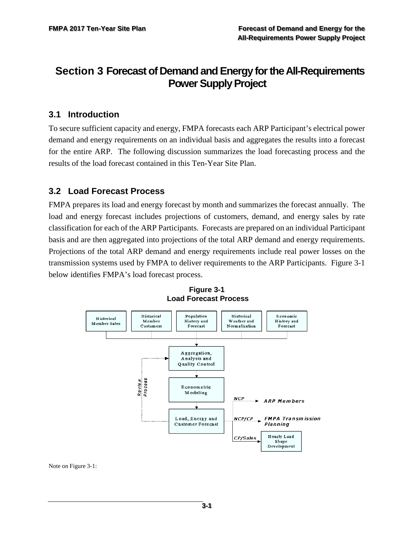# <span id="page-24-0"></span>**Section 3 Forecast of Demand and Energy for the All-Requirements Power Supply Project**

## <span id="page-24-1"></span>**3.1 Introduction**

To secure sufficient capacity and energy, FMPA forecasts each ARP Participant's electrical power demand and energy requirements on an individual basis and aggregates the results into a forecast for the entire ARP. The following discussion summarizes the load forecasting process and the results of the load forecast contained in this Ten-Year Site Plan.

## <span id="page-24-2"></span>**3.2 Load Forecast Process**

FMPA prepares its load and energy forecast by month and summarizes the forecast annually. The load and energy forecast includes projections of customers, demand, and energy sales by rate classification for each of the ARP Participants. Forecasts are prepared on an individual Participant basis and are then aggregated into projections of the total ARP demand and energy requirements. Projections of the total ARP demand and energy requirements include real power losses on the transmission systems used by FMPA to deliver requirements to the ARP Participants. Figure 3-1 below identifies FMPA's load forecast process.

<span id="page-24-3"></span>

**Figure 3-1 Load Forecast Process**

Note on Figure 3-1: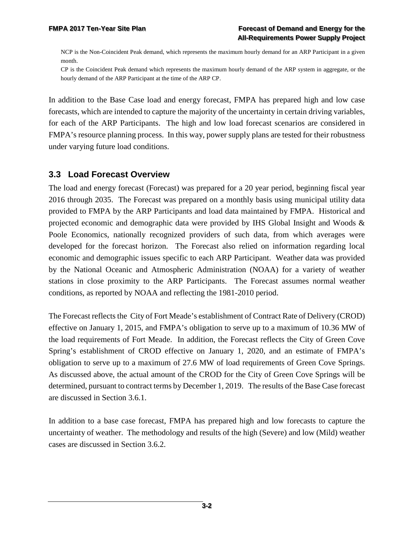NCP is the Non-Coincident Peak demand, which represents the maximum hourly demand for an ARP Participant in a given month.

CP is the Coincident Peak demand which represents the maximum hourly demand of the ARP system in aggregate, or the hourly demand of the ARP Participant at the time of the ARP CP.

In addition to the Base Case load and energy forecast, FMPA has prepared high and low case forecasts, which are intended to capture the majority of the uncertainty in certain driving variables, for each of the ARP Participants. The high and low load forecast scenarios are considered in FMPA's resource planning process. In this way, power supply plans are tested for their robustness under varying future load conditions.

#### <span id="page-25-0"></span>**3.3 Load Forecast Overview**

The load and energy forecast (Forecast) was prepared for a 20 year period, beginning fiscal year 2016 through 2035. The Forecast was prepared on a monthly basis using municipal utility data provided to FMPA by the ARP Participants and load data maintained by FMPA. Historical and projected economic and demographic data were provided by IHS Global Insight and Woods & Poole Economics, nationally recognized providers of such data, from which averages were developed for the forecast horizon. The Forecast also relied on information regarding local economic and demographic issues specific to each ARP Participant. Weather data was provided by the National Oceanic and Atmospheric Administration (NOAA) for a variety of weather stations in close proximity to the ARP Participants. The Forecast assumes normal weather conditions, as reported by NOAA and reflecting the 1981-2010 period.

The Forecast reflects the City of Fort Meade's establishment of Contract Rate of Delivery (CROD) effective on January 1, 2015, and FMPA's obligation to serve up to a maximum of 10.36 MW of the load requirements of Fort Meade. In addition, the Forecast reflects the City of Green Cove Spring's establishment of CROD effective on January 1, 2020, and an estimate of FMPA's obligation to serve up to a maximum of 27.6 MW of load requirements of Green Cove Springs. As discussed above, the actual amount of the CROD for the City of Green Cove Springs will be determined, pursuant to contract terms by December 1, 2019. The results of the Base Case forecast are discussed in Section 3.6.1.

In addition to a base case forecast, FMPA has prepared high and low forecasts to capture the uncertainty of weather. The methodology and results of the high (Severe) and low (Mild) weather cases are discussed in Section 3.6.2.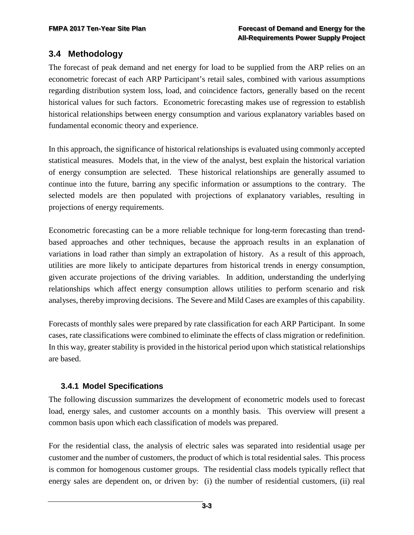## <span id="page-26-0"></span>**3.4 Methodology**

The forecast of peak demand and net energy for load to be supplied from the ARP relies on an econometric forecast of each ARP Participant's retail sales, combined with various assumptions regarding distribution system loss, load, and coincidence factors, generally based on the recent historical values for such factors. Econometric forecasting makes use of regression to establish historical relationships between energy consumption and various explanatory variables based on fundamental economic theory and experience.

In this approach, the significance of historical relationships is evaluated using commonly accepted statistical measures. Models that, in the view of the analyst, best explain the historical variation of energy consumption are selected. These historical relationships are generally assumed to continue into the future, barring any specific information or assumptions to the contrary. The selected models are then populated with projections of explanatory variables, resulting in projections of energy requirements.

Econometric forecasting can be a more reliable technique for long-term forecasting than trendbased approaches and other techniques, because the approach results in an explanation of variations in load rather than simply an extrapolation of history. As a result of this approach, utilities are more likely to anticipate departures from historical trends in energy consumption, given accurate projections of the driving variables. In addition, understanding the underlying relationships which affect energy consumption allows utilities to perform scenario and risk analyses, thereby improving decisions. The Severe and Mild Cases are examples of this capability.

Forecasts of monthly sales were prepared by rate classification for each ARP Participant. In some cases, rate classifications were combined to eliminate the effects of class migration or redefinition. In this way, greater stability is provided in the historical period upon which statistical relationships are based.

#### <span id="page-26-1"></span>**3.4.1 Model Specifications**

The following discussion summarizes the development of econometric models used to forecast load, energy sales, and customer accounts on a monthly basis. This overview will present a common basis upon which each classification of models was prepared.

For the residential class, the analysis of electric sales was separated into residential usage per customer and the number of customers, the product of which is total residential sales. This process is common for homogenous customer groups. The residential class models typically reflect that energy sales are dependent on, or driven by: (i) the number of residential customers, (ii) real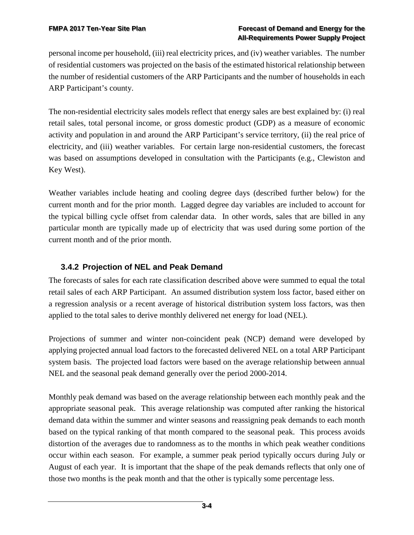personal income per household, (iii) real electricity prices, and (iv) weather variables. The number of residential customers was projected on the basis of the estimated historical relationship between the number of residential customers of the ARP Participants and the number of households in each ARP Participant's county.

The non-residential electricity sales models reflect that energy sales are best explained by: (i) real retail sales, total personal income, or gross domestic product (GDP) as a measure of economic activity and population in and around the ARP Participant's service territory, (ii) the real price of electricity, and (iii) weather variables. For certain large non-residential customers, the forecast was based on assumptions developed in consultation with the Participants (e.g., Clewiston and Key West).

Weather variables include heating and cooling degree days (described further below) for the current month and for the prior month. Lagged degree day variables are included to account for the typical billing cycle offset from calendar data. In other words, sales that are billed in any particular month are typically made up of electricity that was used during some portion of the current month and of the prior month.

## <span id="page-27-0"></span>**3.4.2 Projection of NEL and Peak Demand**

The forecasts of sales for each rate classification described above were summed to equal the total retail sales of each ARP Participant. An assumed distribution system loss factor, based either on a regression analysis or a recent average of historical distribution system loss factors, was then applied to the total sales to derive monthly delivered net energy for load (NEL).

Projections of summer and winter non-coincident peak (NCP) demand were developed by applying projected annual load factors to the forecasted delivered NEL on a total ARP Participant system basis. The projected load factors were based on the average relationship between annual NEL and the seasonal peak demand generally over the period 2000-2014.

Monthly peak demand was based on the average relationship between each monthly peak and the appropriate seasonal peak. This average relationship was computed after ranking the historical demand data within the summer and winter seasons and reassigning peak demands to each month based on the typical ranking of that month compared to the seasonal peak. This process avoids distortion of the averages due to randomness as to the months in which peak weather conditions occur within each season. For example, a summer peak period typically occurs during July or August of each year. It is important that the shape of the peak demands reflects that only one of those two months is the peak month and that the other is typically some percentage less.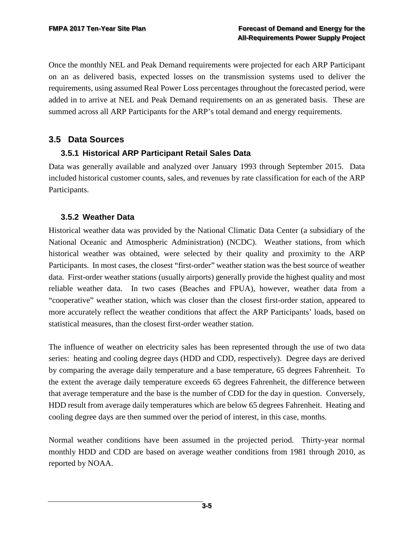Once the monthly NEL and Peak Demand requirements were projected for each ARP Participant on an as delivered basis, expected losses on the transmission systems used to deliver the requirements, using assumed Real Power Loss percentages throughout the forecasted period, were added in to arrive at NEL and Peak Demand requirements on an as generated basis. These are summed across all ARP Participants for the ARP's total demand and energy requirements.

#### <span id="page-28-0"></span>**3.5 Data Sources**

#### <span id="page-28-1"></span>**3.5.1 Historical ARP Participant Retail Sales Data**

Data was generally available and analyzed over January 1993 through September 2015. Data included historical customer counts, sales, and revenues by rate classification for each of the ARP Participants.

#### <span id="page-28-2"></span>**3.5.2 Weather Data**

Historical weather data was provided by the National Climatic Data Center (a subsidiary of the National Oceanic and Atmospheric Administration) (NCDC). Weather stations, from which historical weather was obtained, were selected by their quality and proximity to the ARP Participants. In most cases, the closest "first-order" weather station was the best source of weather data. First-order weather stations (usually airports) generally provide the highest quality and most reliable weather data. In two cases (Beaches and FPUA), however, weather data from a "cooperative" weather station, which was closer than the closest first-order station, appeared to more accurately reflect the weather conditions that affect the ARP Participants' loads, based on statistical measures, than the closest first-order weather station.

The influence of weather on electricity sales has been represented through the use of two data series: heating and cooling degree days (HDD and CDD, respectively). Degree days are derived by comparing the average daily temperature and a base temperature, 65 degrees Fahrenheit. To the extent the average daily temperature exceeds 65 degrees Fahrenheit, the difference between that average temperature and the base is the number of CDD for the day in question. Conversely, HDD result from average daily temperatures which are below 65 degrees Fahrenheit. Heating and cooling degree days are then summed over the period of interest, in this case, months.

Normal weather conditions have been assumed in the projected period. Thirty-year normal monthly HDD and CDD are based on average weather conditions from 1981 through 2010, as reported by NOAA.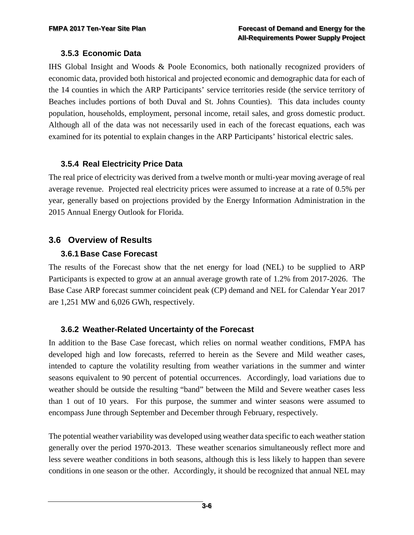#### <span id="page-29-0"></span>**3.5.3 Economic Data**

IHS Global Insight and Woods & Poole Economics, both nationally recognized providers of economic data, provided both historical and projected economic and demographic data for each of the 14 counties in which the ARP Participants' service territories reside (the service territory of Beaches includes portions of both Duval and St. Johns Counties). This data includes county population, households, employment, personal income, retail sales, and gross domestic product. Although all of the data was not necessarily used in each of the forecast equations, each was examined for its potential to explain changes in the ARP Participants' historical electric sales.

#### <span id="page-29-1"></span>**3.5.4 Real Electricity Price Data**

The real price of electricity was derived from a twelve month or multi-year moving average of real average revenue. Projected real electricity prices were assumed to increase at a rate of 0.5% per year, generally based on projections provided by the Energy Information Administration in the 2015 Annual Energy Outlook for Florida.

#### <span id="page-29-2"></span>**3.6 Overview of Results**

#### <span id="page-29-3"></span>**3.6.1 Base Case Forecast**

The results of the Forecast show that the net energy for load (NEL) to be supplied to ARP Participants is expected to grow at an annual average growth rate of 1.2% from 2017-2026. The Base Case ARP forecast summer coincident peak (CP) demand and NEL for Calendar Year 2017 are 1,251 MW and 6,026 GWh, respectively.

#### <span id="page-29-4"></span>**3.6.2 Weather-Related Uncertainty of the Forecast**

In addition to the Base Case forecast, which relies on normal weather conditions, FMPA has developed high and low forecasts, referred to herein as the Severe and Mild weather cases, intended to capture the volatility resulting from weather variations in the summer and winter seasons equivalent to 90 percent of potential occurrences. Accordingly, load variations due to weather should be outside the resulting "band" between the Mild and Severe weather cases less than 1 out of 10 years. For this purpose, the summer and winter seasons were assumed to encompass June through September and December through February, respectively.

The potential weather variability was developed using weather data specific to each weather station generally over the period 1970-2013. These weather scenarios simultaneously reflect more and less severe weather conditions in both seasons, although this is less likely to happen than severe conditions in one season or the other. Accordingly, it should be recognized that annual NEL may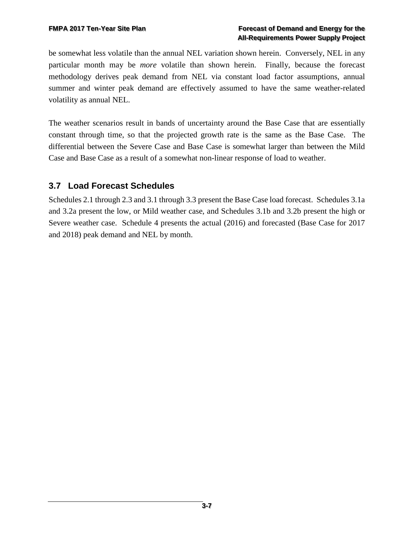be somewhat less volatile than the annual NEL variation shown herein. Conversely, NEL in any particular month may be *more* volatile than shown herein. Finally, because the forecast methodology derives peak demand from NEL via constant load factor assumptions, annual summer and winter peak demand are effectively assumed to have the same weather-related volatility as annual NEL.

The weather scenarios result in bands of uncertainty around the Base Case that are essentially constant through time, so that the projected growth rate is the same as the Base Case. The differential between the Severe Case and Base Case is somewhat larger than between the Mild Case and Base Case as a result of a somewhat non-linear response of load to weather.

## <span id="page-30-0"></span>**3.7 Load Forecast Schedules**

Schedules 2.1 through 2.3 and 3.1 through 3.3 present the Base Case load forecast. Schedules 3.1a and 3.2a present the low, or Mild weather case, and Schedules 3.1b and 3.2b present the high or Severe weather case. Schedule 4 presents the actual (2016) and forecasted (Base Case for 2017 and 2018) peak demand and NEL by month.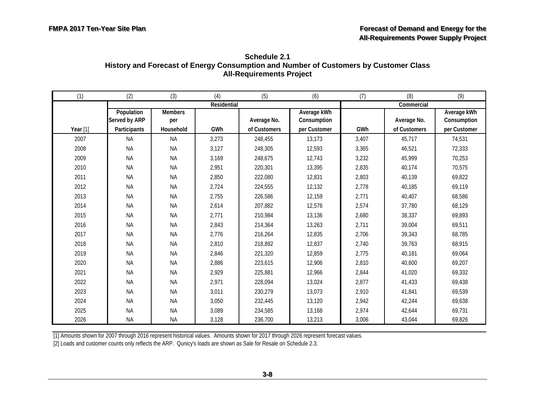| Schedule 2.1                                                                         |
|--------------------------------------------------------------------------------------|
| History and Forecast of Energy Consumption and Number of Customers by Customer Class |
| <b>All-Requirements Project</b>                                                      |

<span id="page-31-0"></span>

| (1)        | (2)                         | (3)                   | (4)         | (5)          | (6)                        | (7)   | (8)          | (9)                        |
|------------|-----------------------------|-----------------------|-------------|--------------|----------------------------|-------|--------------|----------------------------|
|            |                             |                       | Residential |              |                            |       | Commercial   |                            |
|            | Population<br>Served by ARP | <b>Members</b><br>per |             | Average No.  | Average kWh<br>Consumption |       | Average No.  | Average kWh<br>Consumption |
| Year $[1]$ | Participants                | Household             | GWh         | of Customers | per Customer               | GWh   | of Customers | per Customer               |
| 2007       | <b>NA</b>                   | <b>NA</b>             | 3,273       | 248,455      | 13,173                     | 3,407 | 45,717       | 74,531                     |
| 2008       | <b>NA</b>                   | <b>NA</b>             | 3,127       | 248,305      | 12,593                     | 3,365 | 46,521       | 72,333                     |
| 2009       | <b>NA</b>                   | <b>NA</b>             | 3,169       | 248,675      | 12,743                     | 3,232 | 45,999       | 70,253                     |
| 2010       | <b>NA</b>                   | <b>NA</b>             | 2,951       | 220,301      | 13,395                     | 2,835 | 40,174       | 70,575                     |
| 2011       | <b>NA</b>                   | <b>NA</b>             | 2,850       | 222,080      | 12,831                     | 2,803 | 40,139       | 69,822                     |
| 2012       | <b>NA</b>                   | <b>NA</b>             | 2,724       | 224,555      | 12,132                     | 2,778 | 40,185       | 69,119                     |
| 2013       | <b>NA</b>                   | <b>NA</b>             | 2,755       | 226,586      | 12,159                     | 2,771 | 40,407       | 68,586                     |
| 2014       | <b>NA</b>                   | <b>NA</b>             | 2,614       | 207,882      | 12,576                     | 2,574 | 37,780       | 68,129                     |
| 2015       | <b>NA</b>                   | <b>NA</b>             | 2,771       | 210,984      | 13,136                     | 2,680 | 38,337       | 69,893                     |
| 2016       | <b>NA</b>                   | <b>NA</b>             | 2,843       | 214,364      | 13,263                     | 2,711 | 39,004       | 69,511                     |
| 2017       | <b>NA</b>                   | <b>NA</b>             | 2,776       | 216,264      | 12,835                     | 2,706 | 39,343       | 68,785                     |
| 2018       | <b>NA</b>                   | <b>NA</b>             | 2,810       | 218,892      | 12,837                     | 2,740 | 39,763       | 68,915                     |
| 2019       | <b>NA</b>                   | <b>NA</b>             | 2,846       | 221,320      | 12,859                     | 2,775 | 40,181       | 69,064                     |
| 2020       | <b>NA</b>                   | <b>NA</b>             | 2,886       | 223,615      | 12,906                     | 2,810 | 40,600       | 69,207                     |
| 2021       | <b>NA</b>                   | <b>NA</b>             | 2,929       | 225,881      | 12,966                     | 2,844 | 41,020       | 69,332                     |
| 2022       | <b>NA</b>                   | <b>NA</b>             | 2,971       | 228,094      | 13,024                     | 2,877 | 41,433       | 69,438                     |
| 2023       | <b>NA</b>                   | <b>NA</b>             | 3,011       | 230,279      | 13,073                     | 2,910 | 41,841       | 69,539                     |
| 2024       | <b>NA</b>                   | <b>NA</b>             | 3,050       | 232,445      | 13,120                     | 2,942 | 42,244       | 69,638                     |
| 2025       | <b>NA</b>                   | <b>NA</b>             | 3,089       | 234,585      | 13,168                     | 2,974 | 42,644       | 69,731                     |
| 2026       | <b>NA</b>                   | <b>NA</b>             | 3,128       | 236,700      | 13,213                     | 3,006 | 43,044       | 69,826                     |

[2] Loads and customer counts only reflects the ARP. Qunicy's loads are shown as Sale for Resale on Schedule 2.3.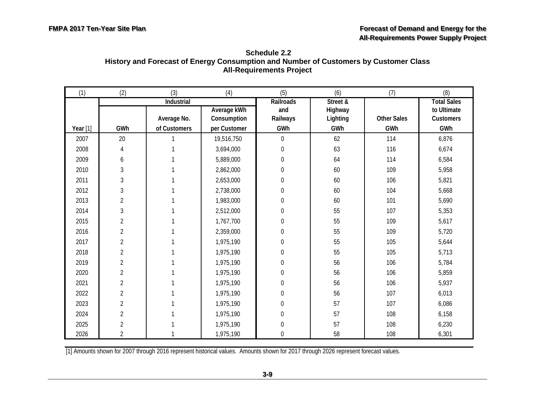<span id="page-32-0"></span>

| Schedule 2.2                                                                         |
|--------------------------------------------------------------------------------------|
| History and Forecast of Energy Consumption and Number of Customers by Customer Class |
| <b>All-Requirements Project</b>                                                      |

| (1)        | (2)            | (3)                       | (4)                        | (5)                                 | (6)                             | (7)                | (8)                                            |
|------------|----------------|---------------------------|----------------------------|-------------------------------------|---------------------------------|--------------------|------------------------------------------------|
|            |                | Industrial<br>Average No. | Average kWh<br>Consumption | <b>Railroads</b><br>and<br>Railways | Street &<br>Highway<br>Lighting | <b>Other Sales</b> | <b>Total Sales</b><br>to Ultimate<br>Customers |
| Year $[1]$ | GWh            | of Customers              | per Customer               | GWh                                 | GWh                             | GWh                | GWh                                            |
| 2007       | 20             |                           | 19,516,750                 | $\boldsymbol{0}$                    | 62                              | 114                | 6,876                                          |
| 2008       | $\overline{4}$ |                           | 3,694,000                  | 0                                   | 63                              | 116                | 6,674                                          |
| 2009       | 6              |                           | 5,889,000                  | $\boldsymbol{0}$                    | 64                              | 114                | 6,584                                          |
| 2010       | 3              |                           | 2,862,000                  | $\boldsymbol{0}$                    | 60                              | 109                | 5,958                                          |
| 2011       | 3              |                           | 2,653,000                  | 0                                   | 60                              | 106                | 5,821                                          |
| 2012       | 3              |                           | 2,738,000                  | 0                                   | 60                              | 104                | 5,668                                          |
| 2013       | $\overline{2}$ |                           | 1,983,000                  | $\boldsymbol{0}$                    | 60                              | 101                | 5,690                                          |
| 2014       | $\overline{3}$ |                           | 2,512,000                  | $\boldsymbol{0}$                    | 55                              | 107                | 5,353                                          |
| 2015       | $\overline{2}$ |                           | 1,767,700                  | $\boldsymbol{0}$                    | 55                              | 109                | 5,617                                          |
| 2016       | $\overline{2}$ |                           | 2,359,000                  | $\mathbf 0$                         | 55                              | 109                | 5,720                                          |
| 2017       | $\overline{2}$ |                           | 1,975,190                  | 0                                   | 55                              | 105                | 5,644                                          |
| 2018       | $\overline{2}$ |                           | 1,975,190                  | 0                                   | 55                              | 105                | 5,713                                          |
| 2019       | $\overline{2}$ |                           | 1,975,190                  | $\mathbf 0$                         | 56                              | 106                | 5,784                                          |
| 2020       | $\overline{2}$ |                           | 1,975,190                  | $\boldsymbol{0}$                    | 56                              | 106                | 5,859                                          |
| 2021       | $\overline{2}$ |                           | 1,975,190                  | 0                                   | 56                              | 106                | 5,937                                          |
| 2022       | $\overline{2}$ |                           | 1,975,190                  | $\boldsymbol{0}$                    | 56                              | 107                | 6,013                                          |
| 2023       | $\overline{2}$ |                           | 1,975,190                  | $\mathbf 0$                         | 57                              | 107                | 6,086                                          |
| 2024       | $\overline{2}$ |                           | 1,975,190                  | 0                                   | 57                              | 108                | 6,158                                          |
| 2025       | $\overline{2}$ |                           | 1,975,190                  | 0                                   | 57                              | 108                | 6,230                                          |
| 2026       | $\overline{2}$ |                           | 1,975,190                  | 0                                   | 58                              | 108                | 6,301                                          |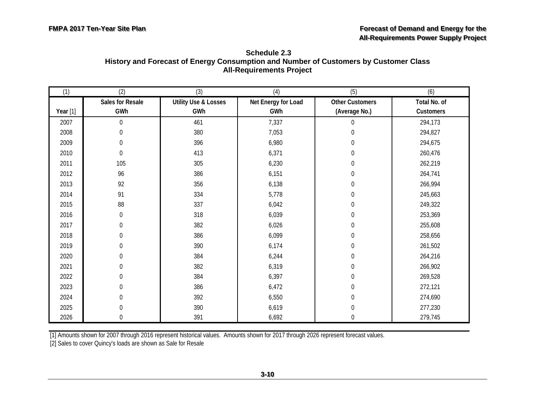<span id="page-33-0"></span>

| Schedule 2.3                                                                         |
|--------------------------------------------------------------------------------------|
| History and Forecast of Energy Consumption and Number of Customers by Customer Class |
| <b>All-Requirements Project</b>                                                      |

| (1)        | (2)              | (3)                             | (4)                 | (5)                    | (6)          |
|------------|------------------|---------------------------------|---------------------|------------------------|--------------|
|            | Sales for Resale | <b>Utility Use &amp; Losses</b> | Net Energy for Load | <b>Other Customers</b> | Total No. of |
| Year $[1]$ | GWh              | GWh                             | GWh                 | (Average No.)          | Customers    |
| 2007       | $\mathbf 0$      | 461                             | 7,337               | 0                      | 294,173      |
| 2008       | $\mathbf 0$      | 380                             | 7,053               | 0                      | 294,827      |
| 2009       | $\boldsymbol{0}$ | 396                             | 6,980               | 0                      | 294,675      |
| 2010       | 0                | 413                             | 6,371               | 0                      | 260,476      |
| 2011       | 105              | 305                             | 6,230               | 0                      | 262,219      |
| 2012       | 96               | 386                             | 6,151               | $\boldsymbol{0}$       | 264,741      |
| 2013       | 92               | 356                             | 6,138               | 0                      | 266,994      |
| 2014       | 91               | 334                             | 5,778               | $\boldsymbol{0}$       | 245,663      |
| 2015       | 88               | 337                             | 6,042               | 0                      | 249,322      |
| 2016       | $\overline{0}$   | 318                             | 6,039               | $\boldsymbol{0}$       | 253,369      |
| 2017       | $\boldsymbol{0}$ | 382                             | 6,026               | 0                      | 255,608      |
| 2018       | $\boldsymbol{0}$ | 386                             | 6,099               | $\boldsymbol{0}$       | 258,656      |
| 2019       | $\Omega$         | 390                             | 6,174               | 0                      | 261,502      |
| 2020       | $\boldsymbol{0}$ | 384                             | 6,244               | 0                      | 264,216      |
| 2021       | $\boldsymbol{0}$ | 382                             | 6,319               | 0                      | 266,902      |
| 2022       | $\boldsymbol{0}$ | 384                             | 6,397               | 0                      | 269,528      |
| 2023       | 0                | 386                             | 6,472               | 0                      | 272,121      |
| 2024       | 0                | 392                             | 6,550               | 0                      | 274,690      |
| 2025       | 0                | 390                             | 6,619               | $\boldsymbol{0}$       | 277,230      |
| 2026       | 0                | 391                             | 6,692               | $\boldsymbol{0}$       | 279,745      |

[2] Sales to cover Quincy's loads are shown as Sale for Resale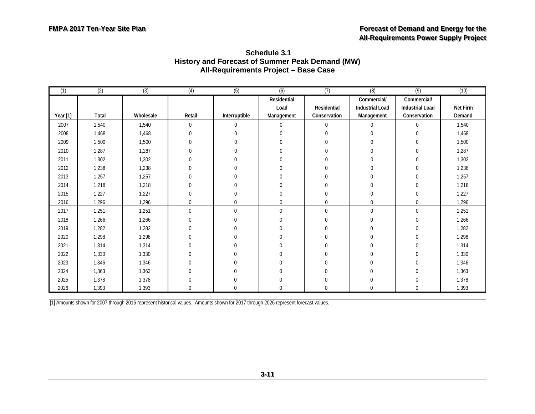| (1)      | (2)   | $\overline{3)}$ | (4)              | (5)           | (6)          | (7)          | (8)                    | (9)                    | (10)     |
|----------|-------|-----------------|------------------|---------------|--------------|--------------|------------------------|------------------------|----------|
|          |       |                 |                  |               | Residential  |              | Commercial/            | Commercial/            |          |
|          |       |                 |                  |               | Load         | Residential  | <b>Industrial Load</b> | <b>Industrial Load</b> | Net Firm |
| Year [1] | Total | Wholesale       | Retail           | Interruptible | Management   | Conservation | Management             | Conservation           | Demand   |
| 2007     | 1,540 | 1,540           | 0                | $\mathbf 0$   | $\mathbf{0}$ | $\mathbf 0$  | $\mathbf{0}$           | $\mathbf{0}$           | 1,540    |
| 2008     | 1,468 | 1,468           | $\boldsymbol{0}$ | $\Omega$      | $\Omega$     | $\mathbf{0}$ | $\mathbf{0}$           | $\mathbf 0$            | 1,468    |
| 2009     | 1,500 | 1,500           | 0                | $\Omega$      | $\Omega$     | $\mathbf 0$  | 0                      | $\mathbf 0$            | 1,500    |
| 2010     | 1,287 | 1,287           | 0                | 0             | 0            | $\mathbf{0}$ | $\mathbf{0}$           | $\mathbf 0$            | 1,287    |
| 2011     | 1,302 | 1,302           | $\mathbf 0$      | 0             | 0            | $\mathbf{0}$ | $\mathbf 0$            | $\mathbf 0$            | 1,302    |
| 2012     | 1,238 | 1,238           | $\mathbf 0$      | $\Omega$      | $\Omega$     | $\Omega$     | $\mathbf 0$            | $\Omega$               | 1,238    |
| 2013     | 1,257 | 1,257           | $\mathbf 0$      | $\Omega$      | $\Omega$     | $\mathbf{0}$ | $\mathbf 0$            | $\Omega$               | 1,257    |
| 2014     | 1,218 | 1,218           | $\mathbf 0$      |               |              | $\Omega$     | $\Omega$               | $\Omega$               | 1,218    |
| 2015     | 1,227 | 1,227           | $\mathbf 0$      | $\Omega$      | $\Omega$     | $\theta$     | $\mathbf 0$            | $\mathbf{0}$           | 1,227    |
| 2016     | 1,296 | 1,296           | $\mathbf 0$      | $\mathbf 0$   | 0            | $\mathbf{0}$ | $\mathbf 0$            | $\mathbf 0$            | 1,296    |
| 2017     | 1,251 | 1,251           | $\mathbf 0$      | $\mathbf 0$   | $\mathbf{0}$ | $\mathbf 0$  | $\mathbf 0$            | $\overline{0}$         | 1,251    |
| 2018     | 1,266 | 1,266           | 0                | $\Omega$      | $\Omega$     | $\Omega$     | $\Omega$               | $\mathbf{0}$           | 1,266    |
| 2019     | 1,282 | 1,282           | 0                | $\Omega$      | $\Omega$     | $\Omega$     | $\Omega$               | $\mathbf 0$            | 1,282    |
| 2020     | 1,298 | 1,298           | $\mathbf 0$      | $\mathbf 0$   | 0            | $\Omega$     | $\mathbf 0$            | $\boldsymbol{0}$       | 1,298    |
| 2021     | 1,314 | 1,314           | $\mathbf 0$      | $\mathbf 0$   | 0            | $\Omega$     | $\Omega$               | $\mathbf 0$            | 1,314    |
| 2022     | 1,330 | 1,330           | $\mathbf 0$      | 0             | 0            | $\mathbf{0}$ | $\mathbf 0$            | $\mathbf 0$            | 1,330    |
| 2023     | 1,346 | 1,346           | 0                | $\Omega$      | 0            | $\Omega$     | $\Omega$               | $\boldsymbol{0}$       | 1,346    |
| 2024     | 1,363 | 1,363           | $\Omega$         | 0             | 0            | $\Omega$     | $\Omega$               | $\mathbf{0}$           | 1,363    |
| 2025     | 1,378 | 1,378           | $\mathbf 0$      | $\Omega$      | $\mathbf 0$  | $\mathbf 0$  | $\Omega$               | $\mathbf 0$            | 1,378    |
| 2026     | 1,393 | 1,393           | 0                | 0             | $\Omega$     | $\Omega$     | $\Omega$               | $\Omega$               | 1,393    |

<span id="page-34-0"></span>**Schedule 3.1 History and Forecast of Summer Peak Demand (MW) All-Requirements Project – Base Case**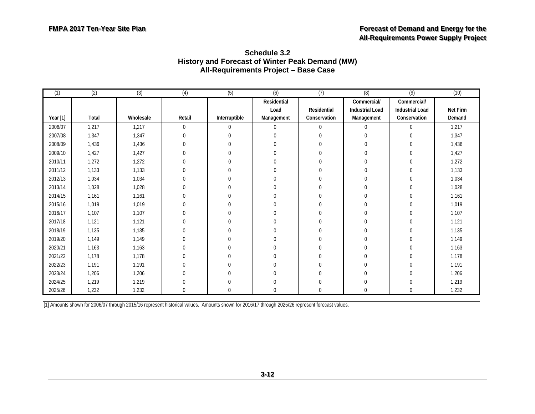<span id="page-35-0"></span>

| (1)      | (2)   | (3)       | (4)      | (5)           | (6)          | (7)          | (8)                    | (9)                    | (10)     |
|----------|-------|-----------|----------|---------------|--------------|--------------|------------------------|------------------------|----------|
|          |       |           |          |               | Residential  |              | Commercial/            | Commercial/            |          |
|          |       |           |          |               | Load         | Residential  | <b>Industrial Load</b> | <b>Industrial Load</b> | Net Firm |
| Year [1] | Total | Wholesale | Retail   | Interruptible | Management   | Conservation | Management             | Conservation           | Demand   |
| 2006/07  | 1,217 | 1,217     | 0        | $\mathbf 0$   | $\mathbf{0}$ | $\mathbf 0$  | $\mathbf{0}$           | $\mathbf 0$            | 1,217    |
| 2007/08  | 1,347 | 1,347     | 0        | $\Omega$      | $\Omega$     |              | $\Omega$               | 0                      | 1,347    |
| 2008/09  | 1,436 | 1,436     | 0        | $\Omega$      | $\Omega$     | $\Omega$     | $\Omega$               | $\Omega$               | 1,436    |
| 2009/10  | 1,427 | 1,427     | $\Omega$ | $\Omega$      | $\Omega$     | $\Omega$     | $\Omega$               | 0                      | 1,427    |
| 2010/11  | 1,272 | 1,272     | $\Omega$ | 0             | $\Omega$     | $\Omega$     | $\Omega$               |                        | 1,272    |
| 2011/12  | 1,133 | 1,133     | $\Omega$ | $\Omega$      | $\Omega$     |              |                        |                        | 1,133    |
| 2012/13  | 1,034 | 1,034     |          | $\Omega$      | $\Omega$     | $\Omega$     |                        |                        | 1,034    |
| 2013/14  | 1,028 | 1,028     |          | $\Omega$      | $\Omega$     |              | <sup>0</sup>           |                        | 1,028    |
| 2014/15  | 1,161 | 1,161     | 0        | $\Omega$      | U            | $\Omega$     | $\Omega$               |                        | 1,161    |
| 2015/16  | 1,019 | 1,019     | $\Omega$ | $\Omega$      | $\Omega$     | $\Omega$     | $\Omega$               |                        | 1,019    |
| 2016/17  | 1,107 | 1,107     | $\Omega$ | 0             | 0            | $\Omega$     | 0                      |                        | 1,107    |
| 2017/18  | 1,121 | 1,121     |          | 0             | $\Omega$     | $\Omega$     | $\Omega$               |                        | 1,121    |
| 2018/19  | 1,135 | 1,135     |          | $\Omega$      | $\Omega$     | $\Omega$     | $\Omega$               |                        | 1,135    |
| 2019/20  | 1,149 | 1,149     |          | $\Omega$      | $\Omega$     | $\Omega$     | $\Omega$               |                        | 1,149    |
| 2020/21  | 1,163 | 1,163     |          | 0             | $\Omega$     | 0            | 0                      |                        | 1,163    |
| 2021/22  | 1,178 | 1,178     |          | $\Omega$      | $\Omega$     | $\Omega$     | $\Omega$               |                        | 1,178    |
| 2022/23  | 1,191 | 1,191     |          | 0             | $\Omega$     | $\Omega$     | $\Omega$               |                        | 1,191    |
| 2023/24  | 1,206 | 1,206     |          | 0             | $\Omega$     | $\Omega$     | $\Omega$               |                        | 1,206    |
| 2024/25  | 1,219 | 1,219     |          |               | <sup>0</sup> | $\Omega$     | <sup>0</sup>           |                        | 1,219    |
| 2025/26  | 1,232 | 1,232     |          | 0             | $\Omega$     | $\Omega$     | $\Omega$               |                        | 1,232    |

#### **Schedule 3.2 History and Forecast of Winter Peak Demand (MW) All-Requirements Project – Base Case**

[1] Amounts shown for 2006/07 through 2015/16 represent historical values. Amounts shown for 2016/17 through 2025/26 represent forecast values.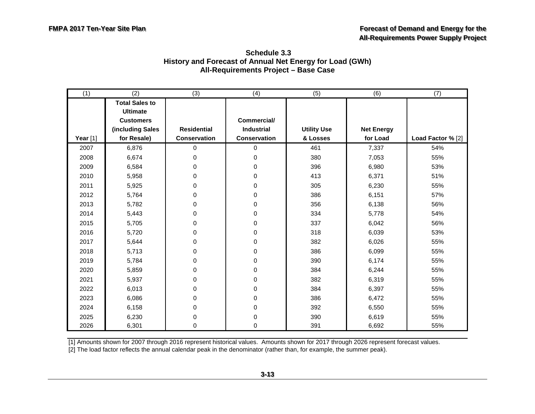<span id="page-36-0"></span>

| Schedule 3.3                                             |
|----------------------------------------------------------|
| History and Forecast of Annual Net Energy for Load (GWh) |
| All-Requirements Project - Base Case                     |

| (1)      | (2)                   | (3)                | (4)          | (5)                | (6)               | (7)               |
|----------|-----------------------|--------------------|--------------|--------------------|-------------------|-------------------|
|          | <b>Total Sales to</b> |                    |              |                    |                   |                   |
|          | <b>Ultimate</b>       |                    |              |                    |                   |                   |
|          | <b>Customers</b>      |                    | Commercial/  |                    |                   |                   |
|          | (including Sales      | <b>Residential</b> | Industrial   | <b>Utility Use</b> | <b>Net Energy</b> |                   |
| Year [1] | for Resale)           | Conservation       | Conservation | & Losses           | for Load          | Load Factor % [2] |
| 2007     | 6,876                 | $\overline{0}$     | 0            | 461                | 7,337             | 54%               |
| 2008     | 6,674                 | $\Omega$           | 0            | 380                | 7,053             | 55%               |
| 2009     | 6,584                 | $\overline{0}$     | 0            | 396                | 6,980             | 53%               |
| 2010     | 5,958                 | $\overline{0}$     | 0            | 413                | 6,371             | 51%               |
| 2011     | 5,925                 | $\boldsymbol{0}$   | 0            | 305                | 6,230             | 55%               |
| 2012     | 5,764                 | 0                  | 0            | 386                | 6,151             | 57%               |
| 2013     | 5,782                 | 0                  | 0            | 356                | 6,138             | 56%               |
| 2014     | 5,443                 | 0                  | 0            | 334                | 5,778             | 54%               |
| 2015     | 5,705                 | $\mathbf 0$        | 0            | 337                | 6,042             | 56%               |
| 2016     | 5,720                 | $\Omega$           | 0            | 318                | 6,039             | 53%               |
| 2017     | 5,644                 | $\mathbf 0$        | 0            | 382                | 6,026             | 55%               |
| 2018     | 5,713                 | $\overline{0}$     | 0            | 386                | 6,099             | 55%               |
| 2019     | 5,784                 | $\overline{0}$     | 0            | 390                | 6,174             | 55%               |
| 2020     | 5,859                 | 0                  | 0            | 384                | 6,244             | 55%               |
| 2021     | 5,937                 | $\overline{0}$     | 0            | 382                | 6,319             | 55%               |
| 2022     | 6,013                 | 0                  | 0            | 384                | 6,397             | 55%               |
| 2023     | 6,086                 | $\overline{0}$     | 0            | 386                | 6,472             | 55%               |
| 2024     | 6,158                 | $\overline{0}$     | 0            | 392                | 6,550             | 55%               |
| 2025     | 6,230                 | $\Omega$           | 0            | 390                | 6,619             | 55%               |
| 2026     | 6,301                 | 0                  | 0            | 391                | 6,692             | 55%               |

[2] The load factor reflects the annual calendar peak in the denominator (rather than, for example, the summer peak).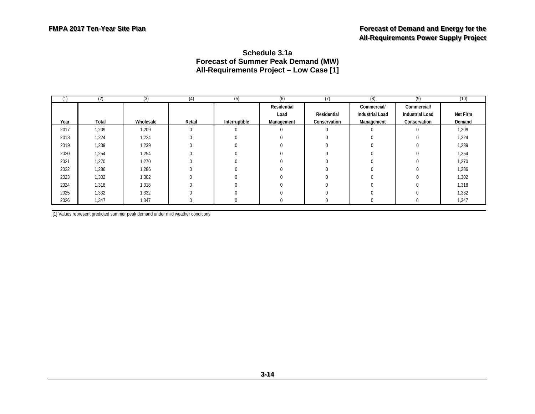#### **Schedule 3.1a Forecast of Summer Peak Demand (MW) All-Requirements Project – Low Case [1]**

| (1)  | (2)   | (3)       | (4)    | (5)           | (6)         | (7)          | (8)                    | (9)                    | (10)     |
|------|-------|-----------|--------|---------------|-------------|--------------|------------------------|------------------------|----------|
|      |       |           |        |               | Residential |              | Commercial/            | Commercial/            |          |
|      |       |           |        |               | Load        | Residential  | <b>Industrial Load</b> | <b>Industrial Load</b> | Net Firm |
| Year | Total | Wholesale | Retail | Interruptible | Management  | Conservation | Management             | Conservation           | Demand   |
| 2017 | 1,209 | 1,209     |        |               | $\Omega$    | 0            |                        |                        | 1,209    |
| 2018 | 1,224 | 1,224     |        |               |             | 0            |                        |                        | 1,224    |
| 2019 | 1,239 | 1,239     |        |               |             | 0            |                        |                        | 1,239    |
| 2020 | 1,254 | 1,254     |        |               |             |              |                        |                        | 1,254    |
| 2021 | 1,270 | 1,270     |        |               |             | 0            |                        |                        | 1,270    |
| 2022 | 1,286 | 1,286     |        |               |             |              |                        |                        | 1,286    |
| 2023 | 1,302 | 1,302     |        |               | $\Omega$    | 0            |                        |                        | 1,302    |
| 2024 | 1,318 | 1,318     |        |               |             |              |                        |                        | 1,318    |
| 2025 | 1,332 | 1,332     |        |               |             | 0            |                        |                        | 1,332    |
| 2026 | 1,347 | 1,347     |        |               |             |              |                        |                        | 1,347    |

<span id="page-37-0"></span>[1] Values represent predicted summer peak demand under mild weather conditions.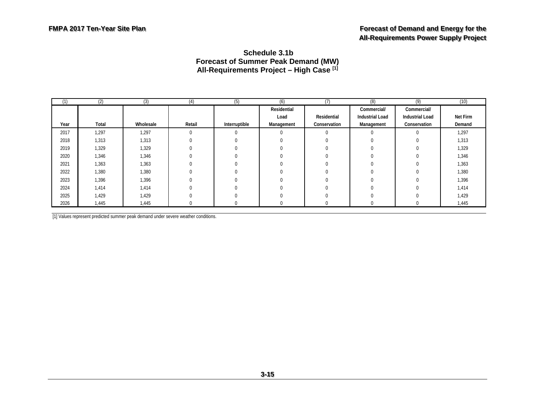#### <span id="page-38-0"></span>**Schedule 3.1b Forecast of Summer Peak Demand (MW) All-Requirements Project – High Case [1]**

| (1)  | (2)   | (3)       | (4)      | (5)           | (6)         | (7)          | (8)                    | (9)                    | (10)     |
|------|-------|-----------|----------|---------------|-------------|--------------|------------------------|------------------------|----------|
|      |       |           |          |               | Residential |              | Commercial/            | Commercial/            |          |
|      |       |           |          |               | Load        | Residential  | <b>Industrial Load</b> | <b>Industrial Load</b> | Net Firm |
| Year | Total | Wholesale | Retail   | Interruptible | Management  | Conservation | Management             | Conservation           | Demand   |
| 2017 | 1,297 | 1,297     | 0        | $\sim$        |             | $\sim$       | 0                      |                        | 1,297    |
| 2018 | 1,313 | 1,313     | 0        |               |             |              |                        |                        | 1,313    |
| 2019 | 1,329 | 1,329     |          |               |             |              |                        |                        | 1,329    |
| 2020 | 1,346 | 1,346     |          |               |             |              |                        |                        | 1,346    |
| 2021 | 1,363 | 1,363     | $\Omega$ |               |             |              |                        |                        | 1,363    |
| 2022 | 1,380 | 1,380     |          |               |             |              |                        |                        | 1,380    |
| 2023 | 1,396 | 1,396     |          |               |             |              |                        |                        | 1,396    |
| 2024 | 1,414 | 1,414     |          |               |             |              |                        |                        | 1,414    |
| 2025 | 1,429 | 1,429     |          |               |             |              |                        |                        | 1,429    |
| 2026 | 1,445 | 1,445     | 0        |               |             |              | U                      |                        | 1,445    |

[1] Values represent predicted summer peak demand under severe weather conditions.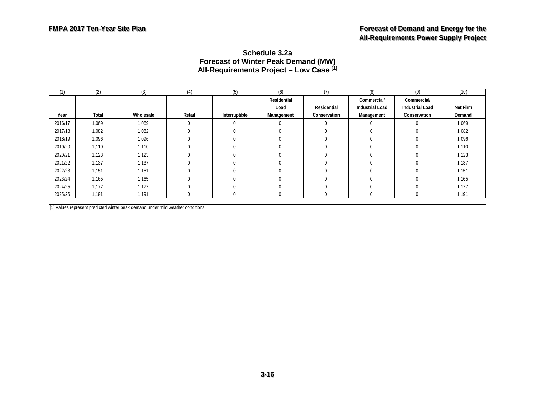#### **Schedule 3.2a Forecast of Winter Peak Demand (MW) All-Requirements Project – Low Case [1]**

| (1)     | (2)   | (3)       | (4)    | (5)           | (6)         | (7)          | (8)                    | (9)                    | (10)     |
|---------|-------|-----------|--------|---------------|-------------|--------------|------------------------|------------------------|----------|
|         |       |           |        |               | Residential |              | Commercial/            | Commercial/            |          |
|         |       |           |        |               | Load        | Residential  | <b>Industrial Load</b> | <b>Industrial Load</b> | Net Firm |
| Year    | Total | Wholesale | Retail | Interruptible | Management  | Conservation | Management             | Conservation           | Demand   |
| 2016/17 | 1,069 | 1,069     | 0      | $\Omega$      |             | $\Omega$     |                        |                        | 1,069    |
| 2017/18 | 1,082 | 1,082     |        | $\Omega$      |             |              |                        |                        | 1,082    |
| 2018/19 | 1,096 | 1,096     |        | $\Omega$      |             |              |                        |                        | 1,096    |
| 2019/20 | 1.110 | 1,110     |        | $\Omega$      |             |              |                        |                        | 1,110    |
| 2020/21 | 1,123 | 1,123     |        |               |             |              |                        |                        | 1,123    |
| 2021/22 | 1,137 | 1,137     |        | $\Omega$      |             | U            |                        |                        | 1,137    |
| 2022/23 | 1,151 | 1,151     |        | $\Omega$      |             |              |                        |                        | 1,151    |
| 2023/24 | 1,165 | 1,165     |        |               |             |              |                        |                        | 1,165    |
| 2024/25 | 1,177 | 1,177     |        | $\Omega$      |             | U            |                        |                        | 1,177    |
| 2025/26 | 1,191 | 1,191     |        | 0             |             |              |                        |                        | 1,191    |
|         |       |           |        |               |             |              |                        |                        |          |

<span id="page-39-0"></span>[1] Values represent predicted winter peak demand under mild weather conditions.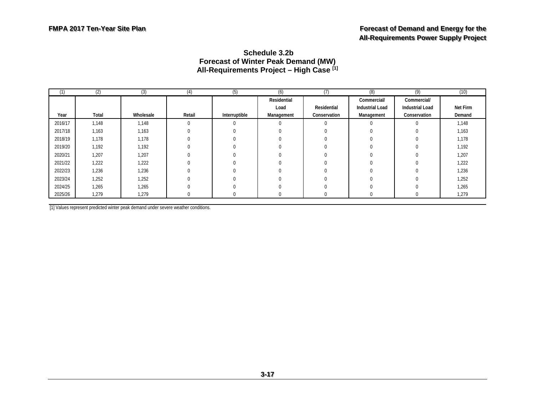#### <span id="page-40-0"></span>**Schedule 3.2b Forecast of Winter Peak Demand (MW) All-Requirements Project – High Case [1]**

| (1)     | (2)   | (3)       | (4)    | (5)           | (6)         | (7)          | (8)                    | (9)                    | (10)     |
|---------|-------|-----------|--------|---------------|-------------|--------------|------------------------|------------------------|----------|
|         |       |           |        |               | Residential |              | Commercial/            | Commercial/            |          |
|         |       |           |        |               | Load        | Residential  | <b>Industrial Load</b> | <b>Industrial Load</b> | Net Firm |
| Year    | Total | Wholesale | Retail | Interruptible | Management  | Conservation | Management             | Conservation           | Demand   |
| 2016/17 | 1,148 | 1,148     | 0      |               |             | $\Omega$     |                        |                        | 1,148    |
| 2017/18 | 1,163 | 1,163     |        | $\Omega$      |             |              |                        |                        | 1,163    |
| 2018/19 | 1,178 | 1,178     |        | $\Omega$      |             |              |                        |                        | 1,178    |
| 2019/20 | 1,192 | 1,192     |        | 0             |             |              |                        |                        | 1,192    |
| 2020/21 | 1,207 | 1,207     |        |               |             |              |                        |                        | 1,207    |
| 2021/22 | 1,222 | 1,222     |        | U             |             |              |                        |                        | 1,222    |
| 2022/23 | 1,236 | 1,236     |        | $\Omega$      |             |              |                        |                        | 1,236    |
| 2023/24 | 1,252 | 1,252     |        |               |             |              |                        |                        | 1,252    |
| 2024/25 | 1,265 | 1,265     |        | $\Omega$      |             |              |                        |                        | 1,265    |
| 2025/26 | 1,279 | 1,279     |        |               |             |              |                        |                        | 1,279    |

[1] Values represent predicted winter peak demand under severe weather conditions.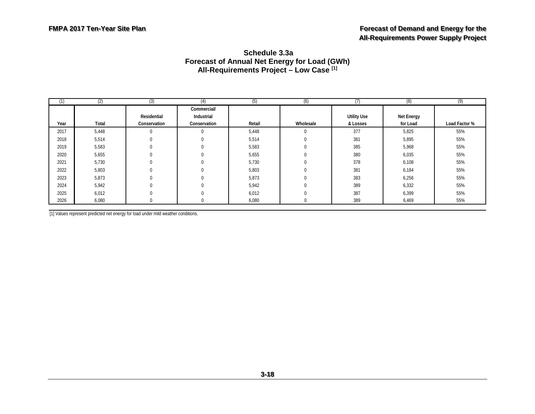#### <span id="page-41-0"></span>**Schedule 3.3a Forecast of Annual Net Energy for Load (GWh) All-Requirements Project – Low Case [1]**

| (1)  | (2)   | (3)          | (4)          | (5)    | (6)       | (7)                | (8)        | (9)           |
|------|-------|--------------|--------------|--------|-----------|--------------------|------------|---------------|
|      |       |              | Commercial/  |        |           |                    |            |               |
|      |       | Residential  | Industrial   |        |           | <b>Utility Use</b> | Net Energy |               |
| Year | Total | Conservation | Conservation | Retail | Wholesale | & Losses           | for Load   | Load Factor % |
| 2017 | 5,448 |              |              | 5,448  |           | 377                | 5,825      | 55%           |
| 2018 | 5,514 | $\Omega$     |              | 5,514  |           | 381                | 5,895      | 55%           |
| 2019 | 5,583 |              |              | 5,583  |           | 385                | 5,968      | 55%           |
| 2020 | 5,655 |              |              | 5,655  |           | 380                | 6,035      | 55%           |
| 2021 | 5,730 | $\Omega$     |              | 5,730  |           | 378                | 6,108      | 55%           |
| 2022 | 5,803 |              |              | 5,803  |           | 381                | 6,184      | 55%           |
| 2023 | 5,873 | $\Omega$     |              | 5,873  |           | 383                | 6,256      | 55%           |
| 2024 | 5,942 |              |              | 5,942  |           | 389                | 6,332      | 55%           |
| 2025 | 6,012 |              |              | 6,012  |           | 387                | 6,399      | 55%           |
| 2026 | 6,080 |              |              | 6,080  |           | 389                | 6,469      | 55%           |

[1] Values represent predicted net energy for load under mild weather conditions.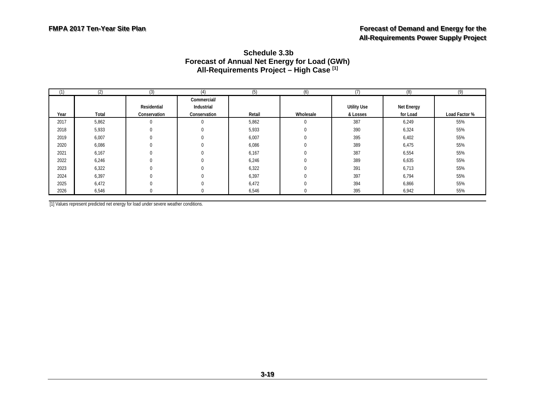#### <span id="page-42-0"></span>**Schedule 3.3b Forecast of Annual Net Energy for Load (GWh) All-Requirements Project – High Case [1]**

| (1)  | (2)   | (3)          | (4)          | (5)    | (6)       |                    | (8)        | (9)           |
|------|-------|--------------|--------------|--------|-----------|--------------------|------------|---------------|
|      |       |              | Commercial/  |        |           |                    |            |               |
|      |       | Residential  | Industrial   |        |           | <b>Utility Use</b> | Net Energy |               |
| Year | Total | Conservation | Conservation | Retail | Wholesale | & Losses           | for Load   | Load Factor % |
| 2017 | 5,862 | $\Omega$     | $\Omega$     | 5,862  | 0         | 387                | 6,249      | 55%           |
| 2018 | 5,933 | $\theta$     | $\Omega$     | 5,933  | 0         | 390                | 6,324      | 55%           |
| 2019 | 6,007 | $\Omega$     |              | 6,007  |           | 395                | 6,402      | 55%           |
| 2020 | 6,086 | $\Omega$     |              | 6,086  |           | 389                | 6,475      | 55%           |
| 2021 | 6,167 | $\Omega$     |              | 6,167  |           | 387                | 6,554      | 55%           |
| 2022 | 6,246 | $\Omega$     |              | 6,246  | 0         | 389                | 6,635      | 55%           |
| 2023 | 6,322 | $\Omega$     |              | 6,322  |           | 391                | 6,713      | 55%           |
| 2024 | 6,397 | $\Omega$     |              | 6,397  |           | 397                | 6,794      | 55%           |
| 2025 | 6,472 | $\Omega$     |              | 6,472  |           | 394                | 6,866      | 55%           |
| 2026 | 6,546 | $\Omega$     |              | 6,546  |           | 395                | 6,942      | 55%           |

[1] Values represent predicted net energy for load under severe weather conditions.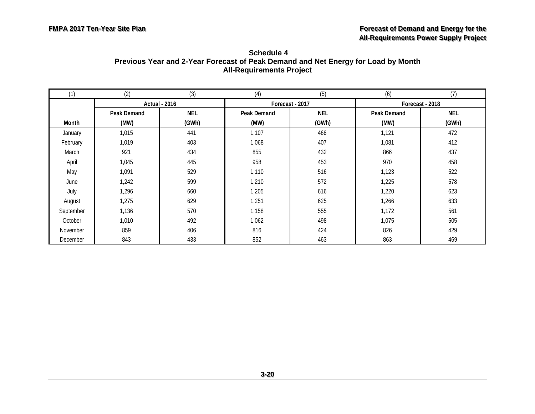<span id="page-43-0"></span>

| Schedule 4                                                                        |
|-----------------------------------------------------------------------------------|
| Previous Year and 2-Year Forecast of Peak Demand and Net Energy for Load by Month |
| <b>All-Requirements Project</b>                                                   |

| (1)       | (2)                | (3)                  | (4)         | (5)             | (6)                | (7)             |
|-----------|--------------------|----------------------|-------------|-----------------|--------------------|-----------------|
|           |                    | <b>Actual - 2016</b> |             | Forecast - 2017 |                    | Forecast - 2018 |
|           | <b>Peak Demand</b> | <b>NEL</b>           | Peak Demand | <b>NEL</b>      | <b>Peak Demand</b> | <b>NEL</b>      |
| Month     | (MW)               | (GWh)                | (MW)        | (GWh)           | (MW)               | (GWh)           |
| January   | 1,015              | 441                  | 1,107       | 466             | 1,121              | 472             |
| February  | 1,019              | 403                  | 1,068       | 407             | 1,081              | 412             |
| March     | 921                | 434                  | 855         | 432             | 866                | 437             |
| April     | 1,045              | 445                  | 958         | 453             | 970                | 458             |
| May       | 1,091              | 529                  | 1,110       | 516             | 1,123              | 522             |
| June      | 1,242              | 599                  | 1,210       | 572             | 1,225              | 578             |
| July      | 1,296              | 660                  | 1,205       | 616             | 1,220              | 623             |
| August    | 1,275              | 629                  | 1,251       | 625             | 1,266              | 633             |
| September | 1,136              | 570                  | 1,158       | 555             | 1,172              | 561             |
| October   | 1,010              | 492                  | 1,062       | 498             | 1,075              | 505             |
| November  | 859                | 406                  | 816         | 424             | 826                | 429             |
| December  | 843                | 433                  | 852         | 463             | 863                | 469             |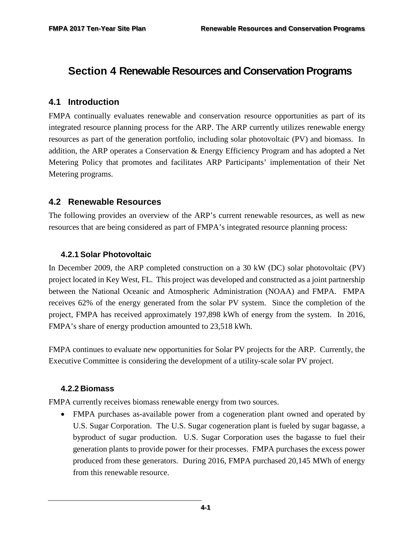# <span id="page-44-0"></span>**Section 4 Renewable Resources and Conservation Programs**

#### <span id="page-44-1"></span>**4.1 Introduction**

FMPA continually evaluates renewable and conservation resource opportunities as part of its integrated resource planning process for the ARP. The ARP currently utilizes renewable energy resources as part of the generation portfolio, including solar photovoltaic (PV) and biomass. In addition, the ARP operates a Conservation & Energy Efficiency Program and has adopted a Net Metering Policy that promotes and facilitates ARP Participants' implementation of their Net Metering programs.

#### <span id="page-44-2"></span>**4.2 Renewable Resources**

The following provides an overview of the ARP's current renewable resources, as well as new resources that are being considered as part of FMPA's integrated resource planning process:

#### <span id="page-44-3"></span>**4.2.1 Solar Photovoltaic**

In December 2009, the ARP completed construction on a 30 kW (DC) solar photovoltaic (PV) project located in Key West, FL. This project was developed and constructed as a joint partnership between the National Oceanic and Atmospheric Administration (NOAA) and FMPA. FMPA receives 62% of the energy generated from the solar PV system. Since the completion of the project, FMPA has received approximately 197,898 kWh of energy from the system. In 2016, FMPA's share of energy production amounted to 23,518 kWh.

FMPA continues to evaluate new opportunities for Solar PV projects for the ARP. Currently, the Executive Committee is considering the development of a utility-scale solar PV project.

#### <span id="page-44-4"></span>**4.2.2 Biomass**

FMPA currently receives biomass renewable energy from two sources.

• FMPA purchases as-available power from a cogeneration plant owned and operated by U.S. Sugar Corporation. The U.S. Sugar cogeneration plant is fueled by sugar bagasse, a byproduct of sugar production. U.S. Sugar Corporation uses the bagasse to fuel their generation plants to provide power for their processes. FMPA purchases the excess power produced from these generators. During 2016, FMPA purchased 20,145 MWh of energy from this renewable resource.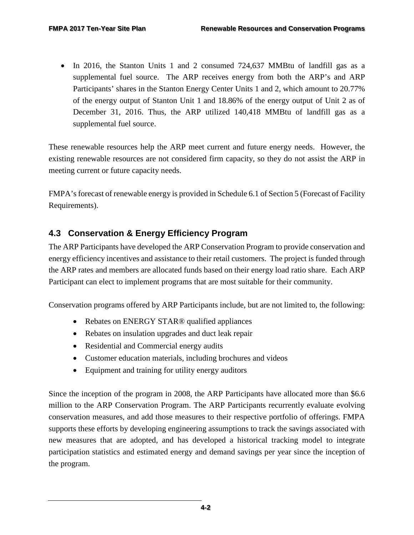• In 2016, the Stanton Units 1 and 2 consumed 724,637 MMBtu of landfill gas as a supplemental fuel source. The ARP receives energy from both the ARP's and ARP Participants' shares in the Stanton Energy Center Units 1 and 2, which amount to 20.77% of the energy output of Stanton Unit 1 and 18.86% of the energy output of Unit 2 as of December 31, 2016. Thus, the ARP utilized 140,418 MMBtu of landfill gas as a supplemental fuel source.

These renewable resources help the ARP meet current and future energy needs. However, the existing renewable resources are not considered firm capacity, so they do not assist the ARP in meeting current or future capacity needs.

FMPA's forecast of renewable energy is provided in Schedule 6.1 of Section 5 (Forecast of Facility Requirements).

## <span id="page-45-0"></span>**4.3 Conservation & Energy Efficiency Program**

The ARP Participants have developed the ARP Conservation Program to provide conservation and energy efficiency incentives and assistance to their retail customers. The project is funded through the ARP rates and members are allocated funds based on their energy load ratio share. Each ARP Participant can elect to implement programs that are most suitable for their community.

Conservation programs offered by ARP Participants include, but are not limited to, the following:

- Rebates on ENERGY STAR® qualified appliances
- Rebates on insulation upgrades and duct leak repair
- Residential and Commercial energy audits
- Customer education materials, including brochures and videos
- Equipment and training for utility energy auditors

Since the inception of the program in 2008, the ARP Participants have allocated more than \$6.6 million to the ARP Conservation Program. The ARP Participants recurrently evaluate evolving conservation measures, and add those measures to their respective portfolio of offerings. FMPA supports these efforts by developing engineering assumptions to track the savings associated with new measures that are adopted, and has developed a historical tracking model to integrate participation statistics and estimated energy and demand savings per year since the inception of the program.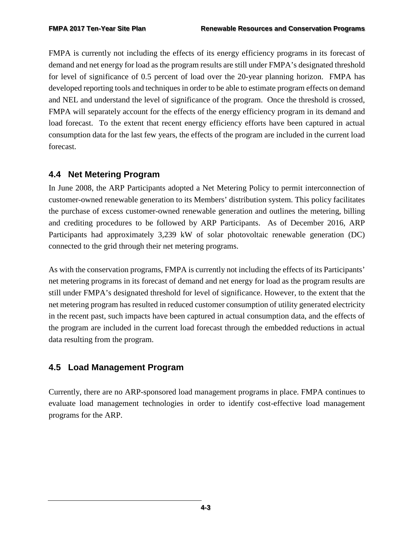FMPA is currently not including the effects of its energy efficiency programs in its forecast of demand and net energy for load as the program results are still under FMPA's designated threshold for level of significance of 0.5 percent of load over the 20-year planning horizon. FMPA has developed reporting tools and techniques in order to be able to estimate program effects on demand and NEL and understand the level of significance of the program. Once the threshold is crossed, FMPA will separately account for the effects of the energy efficiency program in its demand and load forecast. To the extent that recent energy efficiency efforts have been captured in actual consumption data for the last few years, the effects of the program are included in the current load forecast.

## <span id="page-46-0"></span>**4.4 Net Metering Program**

In June 2008, the ARP Participants adopted a Net Metering Policy to permit interconnection of customer-owned renewable generation to its Members' distribution system. This policy facilitates the purchase of excess customer-owned renewable generation and outlines the metering, billing and crediting procedures to be followed by ARP Participants. As of December 2016, ARP Participants had approximately 3,239 kW of solar photovoltaic renewable generation (DC) connected to the grid through their net metering programs.

As with the conservation programs, FMPA is currently not including the effects of its Participants' net metering programs in its forecast of demand and net energy for load as the program results are still under FMPA's designated threshold for level of significance. However, to the extent that the net metering program has resulted in reduced customer consumption of utility generated electricity in the recent past, such impacts have been captured in actual consumption data, and the effects of the program are included in the current load forecast through the embedded reductions in actual data resulting from the program.

## <span id="page-46-1"></span>**4.5 Load Management Program**

Currently, there are no ARP-sponsored load management programs in place. FMPA continues to evaluate load management technologies in order to identify cost-effective load management programs for the ARP.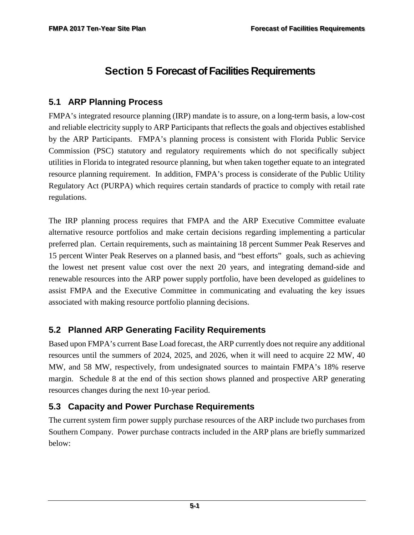# <span id="page-47-0"></span>**Section 5 Forecast of Facilities Requirements**

## <span id="page-47-1"></span>**5.1 ARP Planning Process**

FMPA's integrated resource planning (IRP) mandate is to assure, on a long-term basis, a low-cost and reliable electricity supply to ARP Participants that reflects the goals and objectives established by the ARP Participants. FMPA's planning process is consistent with Florida Public Service Commission (PSC) statutory and regulatory requirements which do not specifically subject utilities in Florida to integrated resource planning, but when taken together equate to an integrated resource planning requirement. In addition, FMPA's process is considerate of the Public Utility Regulatory Act (PURPA) which requires certain standards of practice to comply with retail rate regulations.

The IRP planning process requires that FMPA and the ARP Executive Committee evaluate alternative resource portfolios and make certain decisions regarding implementing a particular preferred plan. Certain requirements, such as maintaining 18 percent Summer Peak Reserves and 15 percent Winter Peak Reserves on a planned basis, and "best efforts" goals, such as achieving the lowest net present value cost over the next 20 years, and integrating demand-side and renewable resources into the ARP power supply portfolio, have been developed as guidelines to assist FMPA and the Executive Committee in communicating and evaluating the key issues associated with making resource portfolio planning decisions.

## <span id="page-47-2"></span>**5.2 Planned ARP Generating Facility Requirements**

Based upon FMPA's current Base Load forecast, the ARP currently does not require any additional resources until the summers of 2024, 2025, and 2026, when it will need to acquire 22 MW, 40 MW, and 58 MW, respectively, from undesignated sources to maintain FMPA's 18% reserve margin. Schedule 8 at the end of this section shows planned and prospective ARP generating resources changes during the next 10-year period.

## <span id="page-47-3"></span>**5.3 Capacity and Power Purchase Requirements**

The current system firm power supply purchase resources of the ARP include two purchases from Southern Company. Power purchase contracts included in the ARP plans are briefly summarized below: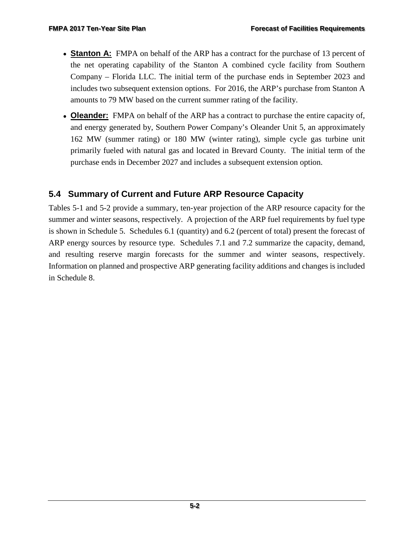- **Stanton A:** FMPA on behalf of the ARP has a contract for the purchase of 13 percent of the net operating capability of the Stanton A combined cycle facility from Southern Company – Florida LLC. The initial term of the purchase ends in September 2023 and includes two subsequent extension options. For 2016, the ARP's purchase from Stanton A amounts to 79 MW based on the current summer rating of the facility.
- **Oleander:** FMPA on behalf of the ARP has a contract to purchase the entire capacity of, and energy generated by, Southern Power Company's Oleander Unit 5, an approximately 162 MW (summer rating) or 180 MW (winter rating), simple cycle gas turbine unit primarily fueled with natural gas and located in Brevard County. The initial term of the purchase ends in December 2027 and includes a subsequent extension option.

## <span id="page-48-0"></span>**5.4 Summary of Current and Future ARP Resource Capacity**

<span id="page-48-1"></span>Tables 5-1 and 5-2 provide a summary, ten-year projection of the ARP resource capacity for the summer and winter seasons, respectively. A projection of the ARP fuel requirements by fuel type is shown in Schedule 5. Schedules 6.1 (quantity) and 6.2 (percent of total) present the forecast of ARP energy sources by resource type. Schedules 7.1 and 7.2 summarize the capacity, demand, and resulting reserve margin forecasts for the summer and winter seasons, respectively. Information on planned and prospective ARP generating facility additions and changes is included in Schedule 8.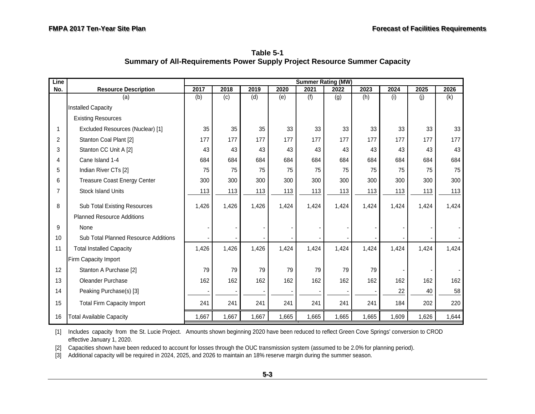<span id="page-49-0"></span>**Table 5-1 Summary of All-Requirements Power Supply Project Resource Summer Capacity**

| Line           |                                      | <b>Summer Rating (MW)</b> |       |       |       |       |       |       |       |       |       |  |
|----------------|--------------------------------------|---------------------------|-------|-------|-------|-------|-------|-------|-------|-------|-------|--|
| No.            | <b>Resource Description</b>          | 2017                      | 2018  | 2019  | 2020  | 2021  | 2022  | 2023  | 2024  | 2025  | 2026  |  |
|                | (a)                                  | (b)                       | (c)   | (d)   | (e)   | (f)   | (g)   | (h)   | (i)   | (j)   | (k)   |  |
|                | <b>Installed Capacity</b>            |                           |       |       |       |       |       |       |       |       |       |  |
|                | <b>Existing Resources</b>            |                           |       |       |       |       |       |       |       |       |       |  |
| 1              | Excluded Resources (Nuclear) [1]     | 35                        | 35    | 35    | 33    | 33    | 33    | 33    | 33    | 33    | 33    |  |
| $\overline{2}$ | Stanton Coal Plant [2]               | 177                       | 177   | 177   | 177   | 177   | 177   | 177   | 177   | 177   | 177   |  |
| 3              | Stanton CC Unit A [2]                | 43                        | 43    | 43    | 43    | 43    | 43    | 43    | 43    | 43    | 43    |  |
| Δ              | Cane Island 1-4                      | 684                       | 684   | 684   | 684   | 684   | 684   | 684   | 684   | 684   | 684   |  |
| 5              | Indian River CTs [2]                 | 75                        | 75    | 75    | 75    | 75    | 75    | 75    | 75    | 75    | 75    |  |
| 6              | <b>Treasure Coast Energy Center</b>  | 300                       | 300   | 300   | 300   | 300   | 300   | 300   | 300   | 300   | 300   |  |
| 7              | <b>Stock Island Units</b>            | 113                       | 113   | 113   | 113   | 113   | 113   | 113   | 113   | 113   | 113   |  |
| 8              | Sub Total Existing Resources         | 1,426                     | 1,426 | 1,426 | 1,424 | 1,424 | 1,424 | 1,424 | 1,424 | 1,424 | 1,424 |  |
|                | <b>Planned Resource Additions</b>    |                           |       |       |       |       |       |       |       |       |       |  |
| 9              | <b>None</b>                          |                           |       |       |       |       |       |       |       |       |       |  |
| 10             | Sub Total Planned Resource Additions |                           |       |       |       |       |       |       |       |       |       |  |
| 11             | <b>Total Installed Capacity</b>      | 1,426                     | 1,426 | 1,426 | 1,424 | 1,424 | 1,424 | 1,424 | 1,424 | 1,424 | 1,424 |  |
|                | Firm Capacity Import                 |                           |       |       |       |       |       |       |       |       |       |  |
| 12             | Stanton A Purchase [2]               | 79                        | 79    | 79    | 79    | 79    | 79    | 79    |       |       |       |  |
| 13             | Oleander Purchase                    | 162                       | 162   | 162   | 162   | 162   | 162   | 162   | 162   | 162   | 162   |  |
| 14             | Peaking Purchase(s) [3]              |                           |       |       |       |       |       |       | 22    | 40    | 58    |  |
| 15             | <b>Total Firm Capacity Import</b>    | 241                       | 241   | 241   | 241   | 241   | 241   | 241   | 184   | 202   | 220   |  |
| 16             | <b>Total Available Capacity</b>      | 1,667                     | 1,667 | 1,667 | 1,665 | 1,665 | 1,665 | 1,665 | 1,609 | 1,626 | 1,644 |  |

[1] Includes capacity from the St. Lucie Project. Amounts shown beginning 2020 have been reduced to reflect Green Cove Springs' conversion to CROD effective January 1, 2020.

[2] Capacities shown have been reduced to account for losses through the OUC transmission system (assumed to be 2.0% for planning period).

[3] Additional capacity will be required in 2024, 2025, and 2026 to maintain an 18% reserve margin during the summer season.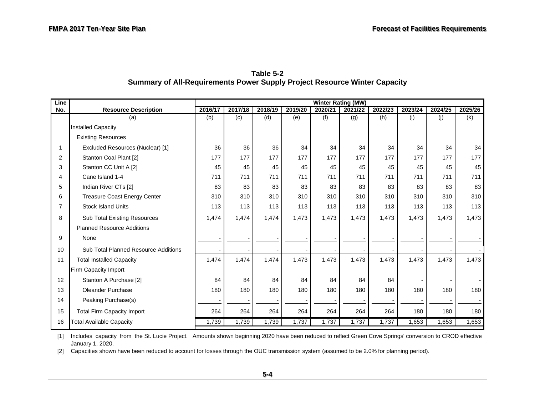| Line           |                                             | Winter Rating (MW) |         |         |         |         |         |         |         |         |         |
|----------------|---------------------------------------------|--------------------|---------|---------|---------|---------|---------|---------|---------|---------|---------|
| No.            | <b>Resource Description</b>                 | 2016/17            | 2017/18 | 2018/19 | 2019/20 | 2020/21 | 2021/22 | 2022/23 | 2023/24 | 2024/25 | 2025/26 |
|                | (a)                                         | (b)                | (c)     | (d)     | (e)     | (f)     | (g)     | (h)     | (i)     | (j)     | (k)     |
|                | Installed Capacity                          |                    |         |         |         |         |         |         |         |         |         |
|                | <b>Existing Resources</b>                   |                    |         |         |         |         |         |         |         |         |         |
| 1              | Excluded Resources (Nuclear) [1]            | 36                 | 36      | 36      | 34      | 34      | 34      | 34      | 34      | 34      | 34      |
| $\overline{2}$ | Stanton Coal Plant [2]                      | 177                | 177     | 177     | 177     | 177     | 177     | 177     | 177     | 177     | 177     |
| 3              | Stanton CC Unit A [2]                       | 45                 | 45      | 45      | 45      | 45      | 45      | 45      | 45      | 45      | 45      |
| 4              | Cane Island 1-4                             | 711                | 711     | 711     | 711     | 711     | 711     | 711     | 711     | 711     | 711     |
| 5              | Indian River CTs [2]                        | 83                 | 83      | 83      | 83      | 83      | 83      | 83      | 83      | 83      | 83      |
| 6              | <b>Treasure Coast Energy Center</b>         | 310                | 310     | 310     | 310     | 310     | 310     | 310     | 310     | 310     | 310     |
| 7              | <b>Stock Island Units</b>                   | 113                | 113     | 113     | 113     | 113     | 113     | 113     | 113     | 113     | 113     |
| 8              | <b>Sub Total Existing Resources</b>         | 1,474              | 1,474   | 1,474   | 1,473   | 1,473   | 1,473   | 1,473   | 1,473   | 1,473   | 1,473   |
|                | <b>Planned Resource Additions</b>           |                    |         |         |         |         |         |         |         |         |         |
| 9              | None                                        |                    |         |         |         |         |         |         |         |         |         |
| 10             | <b>Sub Total Planned Resource Additions</b> |                    |         |         |         |         |         |         |         |         |         |
| 11             | <b>Total Installed Capacity</b>             | 1,474              | 1,474   | 1,474   | 1,473   | 1,473   | 1,473   | 1,473   | 1,473   | 1,473   | 1,473   |
|                | Firm Capacity Import                        |                    |         |         |         |         |         |         |         |         |         |
| 12             | Stanton A Purchase [2]                      | 84                 | 84      | 84      | 84      | 84      | 84      | 84      |         |         |         |
| 13             | Oleander Purchase                           | 180                | 180     | 180     | 180     | 180     | 180     | 180     | 180     | 180     | 180     |
| 14             | Peaking Purchase(s)                         |                    |         |         |         |         |         |         |         |         |         |
| 15             | <b>Total Firm Capacity Import</b>           | 264                | 264     | 264     | 264     | 264     | 264     | 264     | 180     | 180     | 180     |
| 16             | <b>Total Available Capacity</b>             | 1,739              | 1,739   | 1,739   | 1,737   | 1,737   | 1,737   | 1,737   | 1,653   | 1,653   | 1,653   |

<span id="page-50-0"></span>**Table 5-2 Summary of All-Requirements Power Supply Project Resource Winter Capacity** 

[1] Includes capacity from the St. Lucie Project. Amounts shown beginning 2020 have been reduced to reflect Green Cove Springs' conversion to CROD effective January 1, 2020.

[2] Capacities shown have been reduced to account for losses through the OUC transmission system (assumed to be 2.0% for planning period).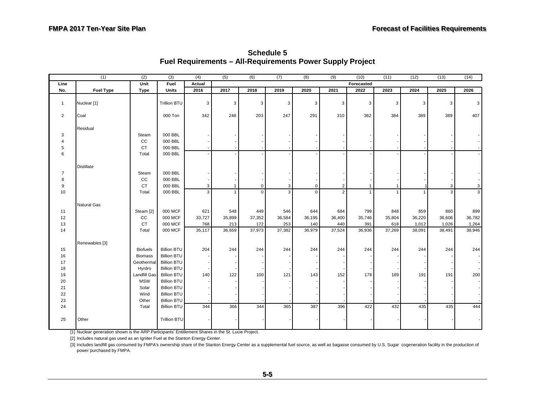|                | (1)              | (2)             | (3)                                      | (4)            | (5)    | (6)            | (7)            | (8)         | (9)    | (10)         | (11)         | (12)           | (13)           | (14)   |
|----------------|------------------|-----------------|------------------------------------------|----------------|--------|----------------|----------------|-------------|--------|--------------|--------------|----------------|----------------|--------|
| Line           |                  | Unit            | Fuel                                     | Actual         |        |                |                |             |        | Forecasted   |              |                |                |        |
| No.            | <b>Fuel Type</b> | Type            | <b>Units</b>                             | 2016           | 2017   | 2018           | 2019           | 2020        | 2021   | 2022         | 2023         | 2024           | 2025           | 2026   |
| $\mathbf{1}$   | Nuclear [1]      |                 | <b>Trillion BTU</b>                      | $\mathbf{3}$   | 3      | $\mathfrak{Z}$ | $\overline{3}$ | 3           | 3      | $\mathbf{3}$ | 3            | 3              | 3              | 3      |
| $\overline{2}$ | Coal             |                 | 000 Ton                                  | 342            | 248    | 203            | 247            | 291         | 310    | 362          | 384          | 389            | 389            | 407    |
|                | Residual         |                 |                                          |                |        |                |                |             |        |              |              |                |                |        |
| 3              |                  | Steam           | 000 BBL                                  |                |        |                |                |             |        |              |              |                |                |        |
| $\overline{4}$ |                  | cc              | 000 BBL                                  |                |        |                |                |             |        |              |              |                |                |        |
| 5              |                  | <b>CT</b>       | 000 BBL                                  |                |        |                |                |             |        |              |              |                |                |        |
| 6              |                  | Total           | 000 BBL                                  |                |        |                |                |             |        |              |              |                |                |        |
|                | Distillate       |                 |                                          |                |        |                |                |             |        |              |              |                |                |        |
| $\overline{7}$ |                  | Steam           | 000 BBL                                  |                |        |                |                |             |        |              |              |                |                |        |
| 8              |                  | cc              | 000 BBL                                  |                |        |                |                |             |        |              |              |                |                |        |
| 9              |                  | <b>CT</b>       | 000 BBL                                  | $\mathbf{3}$   |        | $\mathbf 0$    | 3              | $\mathbf 0$ | 2      |              |              |                | $\overline{3}$ | 3      |
| 10             |                  | Total           | 000 BBL                                  | $\overline{3}$ |        | $\mathbf{0}$   | 3              | $\Omega$    | 2      |              | $\mathbf{1}$ | $\overline{1}$ | $\overline{3}$ | 3      |
|                | Natural Gas      |                 |                                          |                |        |                |                |             |        |              |              |                |                |        |
| 11             |                  | Steam [2]       | 000 MCF                                  | 621            | 548    | 449            | 546            | 644         | 684    | 799          | 848          | 859            | 860            | 899    |
| 12             |                  | CC              | 000 MCF                                  | 33,727         | 35,899 | 37,352         | 36,584         | 36,195      | 36,400 | 35,746       | 35,804       | 36,220         | 36,606         | 36,782 |
| 13             |                  | <b>CT</b>       | 000 MCF                                  | 768            | 213    | 172            | 253            | 140         | 440    | 391          | 618          | 1,012          | 1,026          | 1,264  |
| 14             |                  | Total           | 000 MCF                                  | 35,117         | 36,659 | 37,973         | 37,382         | 36,979      | 37,524 | 36,936       | 37,269       | 38,091         | 38,491         | 38,946 |
|                | Renewables [3]   |                 |                                          |                |        |                |                |             |        |              |              |                |                |        |
| 15             |                  | <b>Biofuels</b> | <b>Billion BTU</b>                       | 204            | 244    | 244            | 244            | 244         | 244    | 244          | 244          | 244            | 244            | 244    |
| 16             |                  | <b>Biomass</b>  | <b>Billion BTU</b>                       |                |        |                |                |             |        |              |              |                |                |        |
| 17             |                  | Geothermal      | <b>Billion BTU</b>                       |                |        |                |                |             |        |              |              |                |                |        |
| $18\,$         |                  | Hyrdro          | <b>Billion BTU</b>                       |                |        |                |                |             |        |              |              |                |                |        |
| 19             |                  | Landfill Gas    | <b>Billion BTU</b>                       | 140            | 122    | 100            | 121            | 143         | 152    | 178          | 189          | 191            | 191            | 200    |
| 20             |                  | <b>MSW</b>      | <b>Billion BTU</b>                       |                |        |                |                |             |        |              |              |                |                |        |
| 21             |                  | Solar           | <b>Billion BTU</b>                       |                |        |                |                |             |        |              |              |                |                |        |
| 22             |                  | Wind            | <b>Billion BTU</b>                       |                |        |                |                |             |        |              |              |                |                |        |
| 23<br>24       |                  | Other           | <b>Billion BTU</b><br><b>Billion BTU</b> | 344            | 366    | 344            | 365            | 387         | 396    | 422          | 432          | 435            | 435            | 444    |
|                |                  | Total           |                                          |                |        |                |                |             |        |              |              |                |                |        |
| 25             | Other            |                 | <b>Trillion BTU</b>                      |                |        |                |                |             |        |              |              |                |                |        |

**Schedule 5 Fuel Requirements – All-Requirements Power Supply Project** 

[1] Nuclear generation shown is the ARP Participants' Entitlement Shares in the St. Lucie Project.

[2] Includes natural gas used as an Igniter Fuel at the Stanton Energy Center.

[3] Includes landfill gas consumed by FMPA's ownership share of the Stanton Energy Center as a supplemental fuel source, as well as bagasse consumed by U.S. Sugar cogeneration facility in the production of power purchased by FMPA.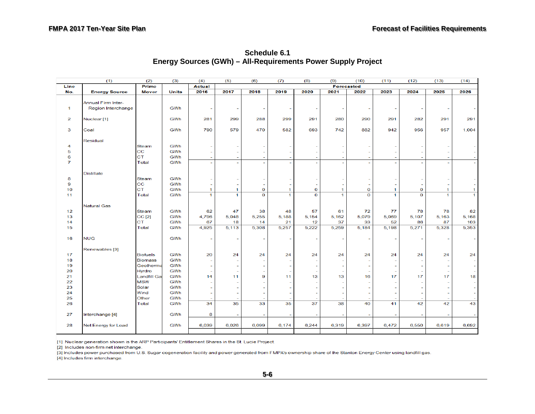<span id="page-52-0"></span>

|                      | (1)                       | (2)             | (3)          | (4)                      | (5)                      | (6)         | (7)                      | (8)                      | (9)          | (10)         | (11)                     | (12)           | (13)                     | (14)         |
|----------------------|---------------------------|-----------------|--------------|--------------------------|--------------------------|-------------|--------------------------|--------------------------|--------------|--------------|--------------------------|----------------|--------------------------|--------------|
| Line                 |                           | Prime           |              | <b>Actual</b>            |                          |             |                          |                          |              | Forecasted   |                          |                |                          |              |
| No.                  | <b>Energy Source</b>      | <b>Mover</b>    | <b>Units</b> | 2016                     | 2017                     | 2018        | 2019                     | 2020                     | 2021         | 2022         | 2023                     | 2024           | 2025                     | 2026         |
|                      |                           |                 |              |                          |                          |             |                          |                          |              |              |                          |                |                          |              |
|                      | Annual Firm Inter-        |                 |              |                          |                          |             |                          |                          |              |              |                          |                |                          |              |
| $\blacktriangleleft$ | Region Interchange        |                 | GWh          |                          | ÷                        |             |                          |                          |              |              |                          |                |                          |              |
|                      |                           |                 |              |                          |                          |             |                          |                          |              |              |                          |                |                          |              |
| $\overline{2}$       | Nuclear <sup>[1]</sup>    |                 | GWh          | 281                      | 299                      | 288         | 299                      | 291                      | 280          | 290          | 291                      | 282            | 291                      | 291          |
|                      |                           |                 |              |                          |                          |             |                          |                          |              |              |                          |                |                          |              |
| 3                    | Coal                      |                 | GWh          | 790                      | 579                      | 470         | 582                      | 693                      | 742          | 882          | 942                      | 956            | 957                      | 1,004        |
|                      |                           |                 |              |                          |                          |             |                          |                          |              |              |                          |                |                          |              |
| 4                    | Residual                  | Steam           | GWh          |                          |                          |             |                          |                          |              |              |                          |                |                          |              |
| 5                    |                           | cc              | GWh          |                          | $\sim$                   |             |                          | $\sim$                   |              |              | $\overline{\phantom{a}}$ |                |                          |              |
| 6                    |                           | <b>CT</b>       | GWh          |                          | ٠                        |             |                          | ÷                        |              |              | ÷                        |                |                          |              |
| $\overline{7}$       |                           | Total           | GWh          | $\overline{\phantom{a}}$ | $\sim$                   |             | $\overline{\phantom{a}}$ | $\sim$                   |              | $\sim$       | $\overline{\phantom{0}}$ |                | $\overline{\phantom{a}}$ |              |
|                      |                           |                 |              |                          |                          |             |                          |                          |              |              |                          |                |                          |              |
|                      | <b>Distillate</b>         |                 |              |                          |                          |             |                          |                          |              |              |                          |                |                          |              |
| 8                    |                           | Steam           | GWh          |                          |                          |             |                          |                          |              |              |                          |                |                          |              |
| 9                    |                           | cc              | GWh          |                          | ۰                        |             |                          | $\overline{\phantom{a}}$ |              |              |                          |                |                          |              |
| 10                   |                           | CT              | GWh          | 1                        | $\mathbf{1}$             | $\mathbf 0$ | $\mathbf{1}$             | $\mathbf{o}$             | 1            | o            | 1                        | $\bf{O}$       | 1                        | 1            |
| 11                   |                           | Total           | GWh          | 1                        | $\mathbf{1}$             | $\mathbf 0$ | $\mathbf{1}$             | $\overline{0}$           | $\mathbf{1}$ | $\mathbf{o}$ | $\mathbf{1}$             | $\overline{0}$ | $\blacktriangleleft$     | $\mathbf{1}$ |
|                      |                           |                 |              |                          |                          |             |                          |                          |              |              |                          |                |                          |              |
|                      | <b>Natural Gas</b>        |                 |              |                          |                          |             |                          |                          |              |              |                          |                |                          |              |
| 12                   |                           | Steam           | GWh          | 62                       | 47                       | 38          | 48                       | 57                       | 61           | 72           | 77                       | 78             | 78                       | 82           |
| 13                   |                           | <b>CC</b> [2]   | GWh          | 4,796                    | 5,048                    | 5,255       | 5,188                    | 5,154                    | 5,162        | 5,079        | 5,069                    | 5,107          | 5,163                    | 5,168        |
| 14                   |                           | <b>CT</b>       | GWh          | 67                       | 18                       | 14          | 21                       | 12                       | 37           | 33           | 52                       | 86             | 87                       | 103          |
| 15                   |                           | Total           | GWh          | 4,925                    | 5,113                    | 5,308       | 5,257                    | 5,222                    | 5,259        | 5,184        | 5,198                    | 5,271          | 5,328                    | 5,353        |
|                      |                           |                 |              |                          |                          |             |                          |                          |              |              |                          |                |                          |              |
| 16                   | <b>NUG</b>                |                 | GWh          |                          |                          |             |                          |                          |              |              |                          |                |                          |              |
|                      |                           |                 |              |                          |                          |             |                          |                          |              |              |                          |                |                          |              |
|                      | Renewables <sup>[3]</sup> |                 |              |                          |                          |             |                          |                          |              |              |                          |                |                          |              |
| 17                   |                           | <b>Biofuels</b> | GWh          | 20                       | 24                       | 24          | 24                       | 24                       | 24           | 24           | 24                       | 24             | 24                       | 24           |
| 18                   |                           | <b>Biomass</b>  | GWh          | ٠                        |                          |             |                          |                          |              |              |                          |                |                          |              |
| 19                   |                           | Geotherma       | GWh          |                          | $\sim$                   |             |                          | $\overline{\phantom{a}}$ |              |              | $\overline{\phantom{0}}$ |                |                          |              |
| 20                   |                           | Hyrdro          | GWh          | ٠                        | ٠                        |             |                          | ٠                        |              |              | ٠                        |                |                          |              |
| 21                   |                           | Landfill Ga     | GWh          | 14                       | 11                       | 9           | 11                       | 13                       | 13           | 16           | 17                       | 17             | 17                       | 18           |
| 22                   |                           | <b>MSW</b>      | GWh          |                          |                          |             |                          | $\overline{\phantom{a}}$ |              |              | ٠                        |                |                          |              |
| 23                   |                           | Solar           | GWh          | ۰                        | $\overline{\phantom{a}}$ | ÷           |                          | $\overline{\phantom{a}}$ |              |              | ٠                        |                |                          |              |
| 24                   |                           | Wind            | GWh          |                          | ٠                        |             |                          | $\sim$                   |              |              |                          |                |                          |              |
| 25                   |                           | Other           | GWh          |                          |                          |             |                          |                          |              |              |                          |                |                          |              |
| 26                   |                           | Total           | GWh          | 34                       | 35                       | 33          | 35                       | 37                       | 38           | 40           | 41                       | 42             | 42                       | 43           |
|                      |                           |                 |              |                          |                          |             |                          |                          |              |              |                          |                |                          |              |
| 27                   | Interchange [4]           |                 | GWh          | 8                        |                          |             |                          |                          |              |              |                          |                |                          |              |
|                      |                           |                 |              |                          |                          |             |                          |                          |              |              |                          |                |                          |              |
| 28                   | Net Energy for Load       |                 | GWh          | 6,039                    | 6,026                    | 6.099       | 6,174                    | 6,244                    | 6,319        | 6,397        | 6,472                    | 6,550          | 6,619                    | 6,692        |
|                      |                           |                 |              |                          |                          |             |                          |                          |              |              |                          |                |                          |              |

**Schedule 6.1 Energy Sources (GWh) – All-Requirements Power Supply Project**

[1] Nuclear generation shown is the ARP Participants' Entitlement Shares in the St. Lucie Project.

 $[2]$  Includes non-firm net interchange.

[3] Includes power purchased from U.S. Sugar cogeneration facility and power generated from FMPA's ownership share of the Stanton Energy Center using landfill gas.

**14** Includes firm interchange.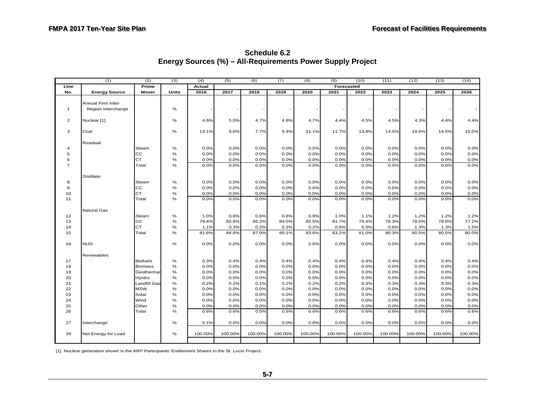<span id="page-53-0"></span>

|                | (1)                  | (2)             | (3)   | (4)     | (5)     | (6)     | (7)     | (8)     | (9)        | (10)    | (11)    | (12)    | (13)    | (14)    |
|----------------|----------------------|-----------------|-------|---------|---------|---------|---------|---------|------------|---------|---------|---------|---------|---------|
| Line           |                      | Prime           |       | Actual  |         |         |         |         | Forecasted |         |         |         |         |         |
| No.            | <b>Energy Source</b> | Mover           | Units | 2016    | 2017    | 2018    | 2019    | 2020    | 2021       | 2022    | 2023    | 2024    | 2025    | 2026    |
|                |                      |                 |       |         |         |         |         |         |            |         |         |         |         |         |
|                | Annual Firm Inter-   |                 |       |         |         |         |         |         |            |         |         |         |         |         |
| $\mathbf{1}$   | Region Interchange   |                 | %     |         |         |         |         |         |            |         |         |         |         |         |
|                |                      |                 |       |         |         |         |         |         |            |         |         |         |         |         |
| $\overline{2}$ | Nuclear [1]          |                 | %     | 4.6%    | 5.0%    | 4.7%    | 4.8%    | 4.7%    | 4.4%       | 4.5%    | 4.5%    | 4.3%    | 4.4%    | 4.4%    |
|                |                      |                 |       |         |         |         |         |         |            |         |         |         |         |         |
| 3              | Coal                 |                 | %     | 13.1%   | 9.6%    | 7.7%    | 9.4%    | 11.1%   | 11.7%      | 13.8%   | 14.5%   | 14.6%   | 14.5%   | 15.0%   |
|                |                      |                 |       |         |         |         |         |         |            |         |         |         |         |         |
| $\overline{4}$ | Residual             | Steam           | %     | 0.0%    | 0.0%    | 0.0%    | 0.0%    | 0.0%    | 0.0%       | 0.0%    | 0.0%    | 0.0%    | 0.0%    | 0.0%    |
| 5              |                      | cc              | %     | 0.0%    | 0.0%    | 0.0%    | 0.0%    | 0.0%    | 0.0%       | 0.0%    | 0.0%    | 0.0%    | 0.0%    | 0.0%    |
| 6              |                      | <b>CT</b>       | %     | 0.0%    | 0.0%    | 0.0%    | 0.0%    | 0.0%    | 0.0%       | 0.0%    | 0.0%    | 0.0%    | 0.0%    | 0.0%    |
| $\overline{7}$ |                      | Total           | $\%$  | 0.0%    | 0.0%    | 0.0%    | 0.0%    | 0.0%    | 0.0%       | 0.0%    | 0.0%    | 0.0%    | 0.0%    | 0.0%    |
|                |                      |                 |       |         |         |         |         |         |            |         |         |         |         |         |
|                | <b>Distillate</b>    |                 |       |         |         |         |         |         |            |         |         |         |         |         |
| 8              |                      | Steam           | %     | 0.0%    | 0.0%    | 0.0%    | 0.0%    | 0.0%    | 0.0%       | 0.0%    | 0.0%    | 0.0%    | 0.0%    | 0.0%    |
| 9              |                      | cc              | $\%$  | 0.0%    | 0.0%    | 0.0%    | 0.0%    | 0.0%    | 0.0%       | 0.0%    | 0.0%    | 0.0%    | 0.0%    | 0.0%    |
| 10             |                      | <b>CT</b>       | %     | 0.0%    | 0.0%    | 0.0%    | 0.0%    | 0.0%    | 0.0%       | 0.0%    | 0.0%    | 0.0%    | 0.0%    | 0.0%    |
| 11             |                      | Total           | $\%$  | 0.0%    | 0.0%    | 0.0%    | 0.0%    | 0.0%    | 0.0%       | 0.0%    | 0.0%    | 0.0%    | 0.0%    | 0.0%    |
|                |                      |                 |       |         |         |         |         |         |            |         |         |         |         |         |
|                | Natural Gas          |                 |       |         |         |         |         |         |            |         |         |         |         |         |
| 12             |                      | Steam           | %     | 1.0%    | 0.8%    | 0.6%    | 0.8%    | 0.9%    | 1.0%       | 1.1%    | 1.2%    | 1.2%    | 1.2%    | 1.2%    |
| 13             |                      | cc              | %     | 79.4%   | 83.8%   | 86.2%   | 84.0%   | 82.5%   | 81.7%      | 79.4%   | 78.3%   | 78.0%   | 78.0%   | 77.2%   |
| 14             |                      | <b>CT</b>       | %     | 1.1%    | 0.3%    | 0.2%    | 0.3%    | 0.2%    | 0.6%       | 0.5%    | 0.8%    | 1.3%    | 1.3%    | 1.5%    |
| 15             |                      | Total           | %     | 81.6%   | 84.9%   | 87.0%   | 85.1%   | 83.6%   | 83.2%      | 81.0%   | 80.3%   | 80.5%   | 80.5%   | 80.0%   |
|                |                      |                 |       |         |         |         |         |         |            |         |         |         |         |         |
| 16             | <b>NUG</b>           |                 | %     | 0.0%    | 0.0%    | 0.0%    | 0.0%    | 0.0%    | 0.0%       | 0.0%    | 0.0%    | 0.0%    | 0.0%    | 0.0%    |
|                |                      |                 |       |         |         |         |         |         |            |         |         |         |         |         |
|                | Renewables           |                 |       |         |         |         |         |         |            |         |         |         |         |         |
| 17             |                      | <b>Biofuels</b> | %     | 0.3%    | 0.4%    | 0.4%    | 0.4%    | 0.4%    | 0.4%       | 0.4%    | 0.4%    | 0.4%    | 0.4%    | 0.4%    |
| 18             |                      | <b>Biomass</b>  | $\%$  | 0.0%    | 0.0%    | 0.0%    | 0.0%    | 0.0%    | 0.0%       | 0.0%    | 0.0%    | 0.0%    | 0.0%    | 0.0%    |
| 19             |                      | Geothermal      | $\%$  | 0.0%    | 0.0%    | 0.0%    | 0.0%    | 0.0%    | 0.0%       | 0.0%    | 0.0%    | 0.0%    | 0.0%    | $0.0\%$ |
| 20             |                      | Hyrdro          | $\%$  | 0.0%    | 0.0%    | 0.0%    | 0.0%    | 0.0%    | 0.0%       | 0.0%    | 0.0%    | 0.0%    | 0.0%    | 0.0%    |
| 21             |                      | Landfill Gas    | $\%$  | 0.2%    | 0.2%    | 0.1%    | 0.2%    | 0.2%    | 0.2%       | 0.3%    | 0.3%    | 0.3%    | 0.3%    | 0.3%    |
| 22             |                      | <b>MSW</b>      | $\%$  | 0.0%    | 0.0%    | 0.0%    | 0.0%    | 0.0%    | 0.0%       | 0.0%    | 0.0%    | 0.0%    | 0.0%    | 0.0%    |
| 23             |                      | Solar           | $\%$  | 0.0%    | 0.0%    | 0.0%    | 0.0%    | 0.0%    | 0.0%       | 0.0%    | 0.0%    | 0.0%    | 0.0%    | 0.0%    |
| 24             |                      | Wind            | $\%$  | 0.0%    | 0.0%    | 0.0%    | 0.0%    | 0.0%    | 0.0%       | 0.0%    | 0.0%    | 0.0%    | 0.0%    | 0.0%    |
| 25             |                      | Other           | $\%$  | 0.0%    | 0.0%    | 0.0%    | 0.0%    | 0.0%    | 0.0%       | 0.0%    | 0.0%    | 0.0%    | 0.0%    | 0.0%    |
| 26             |                      | Total           | %     | 0.6%    | 0.6%    | 0.5%    | 0.6%    | 0.6%    | 0.6%       | 0.6%    | 0.6%    | 0.6%    | 0.6%    | 0.6%    |
|                |                      |                 |       |         |         |         |         |         |            |         |         |         |         |         |
| 27             | Interchange          |                 | %     | 0.1%    | 0.0%    | 0.0%    | 0.0%    | 0.0%    | 0.0%       | 0.0%    | 0.0%    | 0.0%    | 0.0%    | 0.0%    |
|                |                      |                 |       |         |         |         |         |         |            |         |         |         |         |         |
| 28             | Net Energy for Load  |                 | %     | 100.00% | 100.00% | 100.00% | 100.00% | 100.00% | 100.00%    | 100.00% | 100.00% | 100.00% | 100.00% | 100.00% |
|                |                      |                 |       |         |         |         |         |         |            |         |         |         |         |         |

**Schedule 6.2 Energy Sources (%) – All-Requirements Power Supply Project**

[1] Nuclear generation shown is the ARP Participants' Entitlement Shares in the St. Lucie Project.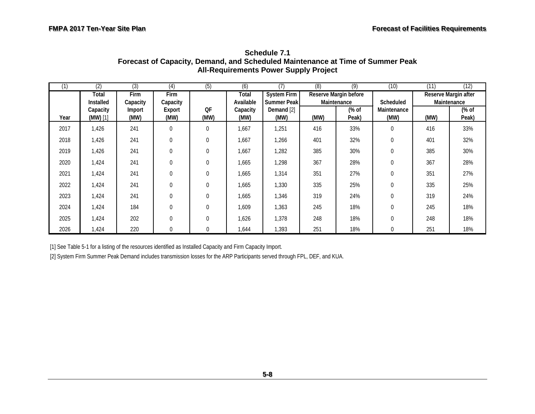| (1)  | (2)                  | $\overline{3}$ | (4)            | (5)            | (6)              | (7)                | (8)  | $\overline{(9)}$                     | (10)                | (11) | (12)                                |  |
|------|----------------------|----------------|----------------|----------------|------------------|--------------------|------|--------------------------------------|---------------------|------|-------------------------------------|--|
|      | Total                | <b>Firm</b>    | <b>Firm</b>    |                | Total            | <b>System Firm</b> |      | Reserve Margin before<br>Maintenance |                     |      | Reserve Margin after<br>Maintenance |  |
|      | Installed            | Capacity       | Capacity       |                | Available        | <b>Summer Peak</b> |      |                                      | Scheduled           |      |                                     |  |
| Year | Capacity<br>(MW) [1] | Import<br>(MW) | Export<br>(MW) | QF<br>(MW)     | Capacity<br>(MW) | Demand [2]<br>(MW) | (MW) | (% of<br>Peak)                       | Maintenance<br>(MW) | (MW) | (% of<br>Peak)                      |  |
| 2017 | 1,426                | 241            | $\mathbf 0$    | 0              | 1,667            | 1,251              | 416  | 33%                                  | $\mathbf 0$         | 416  | 33%                                 |  |
| 2018 | 1,426                | 241            | $\mathbf{0}$   | 0              | 1,667            | 1,266              | 401  | 32%                                  | 0                   | 401  | 32%                                 |  |
| 2019 | 1,426                | 241            | $\mathbf{0}$   | 0              | 1,667            | 1,282              | 385  | 30%                                  | $\mathbf{0}$        | 385  | 30%                                 |  |
| 2020 | 1,424                | 241            | $\mathbf{0}$   | $\overline{0}$ | 1,665            | 1,298              | 367  | 28%                                  | $\overline{0}$      | 367  | 28%                                 |  |
| 2021 | 1,424                | 241            | $\mathbf{0}$   | $\overline{0}$ | 1,665            | 1,314              | 351  | 27%                                  | $\theta$            | 351  | 27%                                 |  |
| 2022 | 1,424                | 241            | $\mathbf{0}$   | 0              | 1,665            | 1,330              | 335  | 25%                                  | $\theta$            | 335  | 25%                                 |  |
| 2023 | 1,424                | 241            | $\Omega$       | $\Omega$       | 1,665            | 1,346              | 319  | 24%                                  | $\theta$            | 319  | 24%                                 |  |
| 2024 | 1,424                | 184            | $\theta$       | 0              | 1,609            | 1,363              | 245  | 18%                                  | $\overline{0}$      | 245  | 18%                                 |  |
| 2025 | 1,424                | 202            | $\theta$       | 0              | 1,626            | 1,378              | 248  | 18%                                  | $\overline{0}$      | 248  | 18%                                 |  |
| 2026 | 1,424                | 220            | $\Omega$       | 0              | 644, ا           | 1,393              | 251  | 18%                                  | $\mathbf{0}$        | 251  | 18%                                 |  |

**Schedule 7.1 Forecast of Capacity, Demand, and Scheduled Maintenance at Time of Summer Peak All-Requirements Power Supply Project** 

<span id="page-54-0"></span>[1] See Table 5-1 for a listing of the resources identified as Installed Capacity and Firm Capacity Import.

[2] System Firm Summer Peak Demand includes transmission losses for the ARP Participants served through FPL, DEF, and KUA.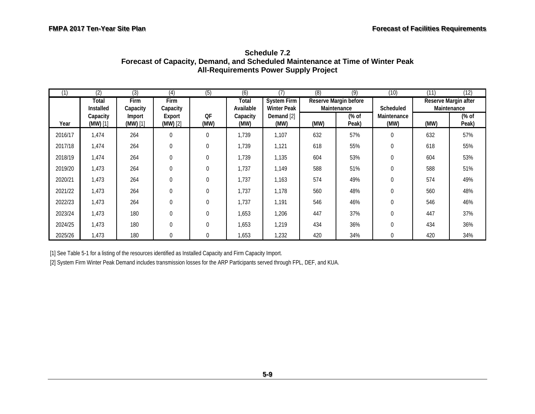| (1)     | (2)                  | (3)                  | (4)                     | (5)        | (6)                |                                   | (8)  | (9)                                  | (10)                | (11)                                             | (12)          |
|---------|----------------------|----------------------|-------------------------|------------|--------------------|-----------------------------------|------|--------------------------------------|---------------------|--------------------------------------------------|---------------|
|         | Total<br>Installed   | Firm<br>Capacity     | <b>Firm</b><br>Capacity |            | Total<br>Available | System Firm<br><b>Winter Peak</b> |      | Reserve Margin before<br>Maintenance |                     | Reserve Margin after<br>Scheduled<br>Maintenance |               |
| Year    | Capacity<br>(MW) [1] | Import<br>$(MW)$ [1] | Export<br>$(MW)$ [2]    | QF<br>(MW) | Capacity<br>(MW)   | Demand [2]<br>(MW)                | (MW) | (% of<br>Peak)                       | Maintenance<br>(MW) | (MW)                                             | % of<br>Peak) |
| 2016/17 | 1,474                | 264                  | $\Omega$                | 0          | 1,739              | 1,107                             | 632  | 57%                                  | $\Omega$            | 632                                              | 57%           |
| 2017/18 | 1,474                | 264                  | $\mathbf 0$             | 0          | 1,739              | 1,121                             | 618  | 55%                                  | $\mathbf 0$         | 618                                              | 55%           |
| 2018/19 | 1,474                | 264                  | $\mathbf{0}$            | 0          | 1,739              | 1,135                             | 604  | 53%                                  | $\mathbf{0}$        | 604                                              | 53%           |
| 2019/20 | 1,473                | 264                  | $\mathbf{0}$            | 0          | 1,737              | 1,149                             | 588  | 51%                                  | $\mathbf{0}$        | 588                                              | 51%           |
| 2020/21 | 1,473                | 264                  | $\Omega$                | 0          | 1,737              | 1,163                             | 574  | 49%                                  | $\Omega$            | 574                                              | 49%           |
| 2021/22 | 1,473                | 264                  | $\mathbf{0}$            | 0          | 1,737              | 1,178                             | 560  | 48%                                  | $\Omega$            | 560                                              | 48%           |
| 2022/23 | 1,473                | 264                  | $\mathbf{0}$            | $\Omega$   | 1,737              | 1,191                             | 546  | 46%                                  | $\theta$            | 546                                              | 46%           |
| 2023/24 | 1,473                | 180                  | $\mathbf{0}$            | 0          | 1,653              | 1,206                             | 447  | 37%                                  | $\theta$            | 447                                              | 37%           |
| 2024/25 | 1,473                | 180                  | $\mathbf{0}$            | 0          | 1,653              | 1,219                             | 434  | 36%                                  | $\theta$            | 434                                              | 36%           |
| 2025/26 | 1,473                | 180                  | $\mathbf{0}$            | 0          | 1,653              | 1,232                             | 420  | 34%                                  | $\Omega$            | 420                                              | 34%           |

**Schedule 7.2 Forecast of Capacity, Demand, and Scheduled Maintenance at Time of Winter Peak All-Requirements Power Supply Project** 

<span id="page-55-0"></span>[1] See Table 5-1 for a listing of the resources identified as Installed Capacity and Firm Capacity Import.

[2] System Firm Winter Peak Demand includes transmission losses for the ARP Participants served through FPL, DEF, and KUA.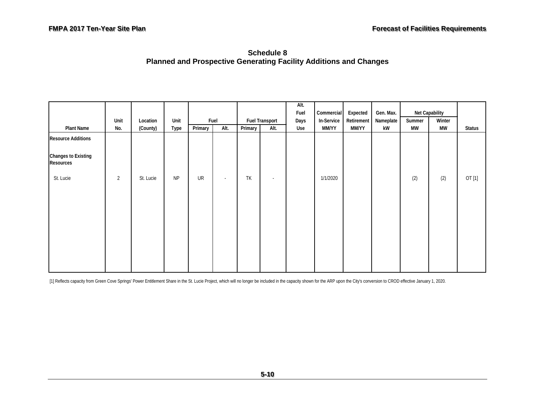**Schedule 8 Planned and Prospective Generating Facility Additions and Changes** 

<span id="page-56-0"></span>

|                                                |                |           |           |         |        |         |                       | Alt.<br>Fuel | Commercial | Expected   | Gen. Max. |           | Net Capability |               |
|------------------------------------------------|----------------|-----------|-----------|---------|--------|---------|-----------------------|--------------|------------|------------|-----------|-----------|----------------|---------------|
|                                                | Unit           | Location  | Unit      |         | Fuel   |         | <b>Fuel Transport</b> | Days         | In-Service | Retirement | Nameplate | Summer    | Winter         |               |
| <b>Plant Name</b>                              | No.            | (County)  | Type      | Primary | Alt.   | Primary | Alt.                  | Use          | MM/YY      | MM/YY      | kW        | <b>MW</b> | <b>MW</b>      | <b>Status</b> |
| <b>Resource Additions</b>                      |                |           |           |         |        |         |                       |              |            |            |           |           |                |               |
| <b>Changes to Existing</b><br><b>Resources</b> |                |           |           |         |        |         |                       |              |            |            |           |           |                |               |
| St. Lucie                                      | $\overline{2}$ | St. Lucie | <b>NP</b> | UR      | $\sim$ | TK      | $\sim$                |              | 1/1/2020   |            |           | (2)       | (2)            | OT [1]        |
|                                                |                |           |           |         |        |         |                       |              |            |            |           |           |                |               |

[1] Reflects capacity from Green Cove Springs' Power Entitlement Share in the St. Lucie Project, which will no longer be included in the capacity shown for the ARP upon the City's conversion to CROD effective January 1, 20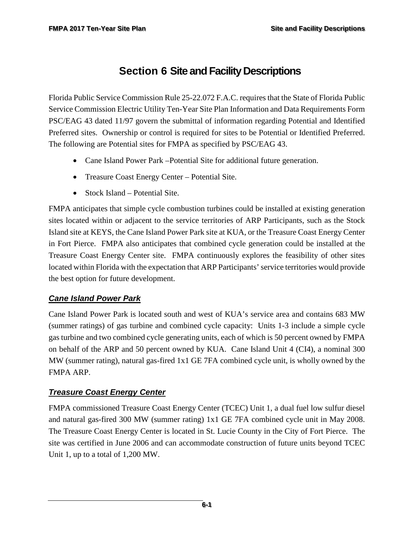# <span id="page-57-0"></span>**Section 6 Site and Facility Descriptions**

Florida Public Service Commission Rule 25-22.072 F.A.C. requires that the State of Florida Public Service Commission Electric Utility Ten-Year Site Plan Information and Data Requirements Form PSC/EAG 43 dated 11/97 govern the submittal of information regarding Potential and Identified Preferred sites. Ownership or control is required for sites to be Potential or Identified Preferred. The following are Potential sites for FMPA as specified by PSC/EAG 43.

- Cane Island Power Park Potential Site for additional future generation.
- Treasure Coast Energy Center Potential Site.
- Stock Island Potential Site.

FMPA anticipates that simple cycle combustion turbines could be installed at existing generation sites located within or adjacent to the service territories of ARP Participants, such as the Stock Island site at KEYS, the Cane Island Power Park site at KUA, or the Treasure Coast Energy Center in Fort Pierce. FMPA also anticipates that combined cycle generation could be installed at the Treasure Coast Energy Center site. FMPA continuously explores the feasibility of other sites located within Florida with the expectation that ARP Participants' service territories would provide the best option for future development.

#### *Cane Island Power Park*

Cane Island Power Park is located south and west of KUA's service area and contains 683 MW (summer ratings) of gas turbine and combined cycle capacity: Units 1-3 include a simple cycle gas turbine and two combined cycle generating units, each of which is 50 percent owned by FMPA on behalf of the ARP and 50 percent owned by KUA. Cane Island Unit 4 (CI4), a nominal 300 MW (summer rating), natural gas-fired 1x1 GE 7FA combined cycle unit, is wholly owned by the FMPA ARP.

#### *Treasure Coast Energy Center*

FMPA commissioned Treasure Coast Energy Center (TCEC) Unit 1, a dual fuel low sulfur diesel and natural gas-fired 300 MW (summer rating) 1x1 GE 7FA combined cycle unit in May 2008. The Treasure Coast Energy Center is located in St. Lucie County in the City of Fort Pierce. The site was certified in June 2006 and can accommodate construction of future units beyond TCEC Unit 1, up to a total of 1,200 MW.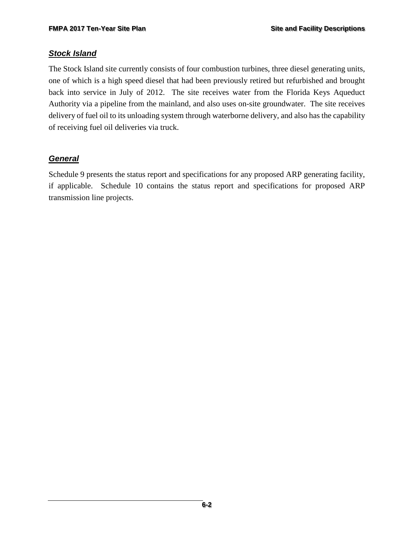#### *Stock Island*

The Stock Island site currently consists of four combustion turbines, three diesel generating units, one of which is a high speed diesel that had been previously retired but refurbished and brought back into service in July of 2012. The site receives water from the Florida Keys Aqueduct Authority via a pipeline from the mainland, and also uses on-site groundwater. The site receives delivery of fuel oil to its unloading system through waterborne delivery, and also has the capability of receiving fuel oil deliveries via truck.

#### *General*

Schedule 9 presents the status report and specifications for any proposed ARP generating facility, if applicable. Schedule 10 contains the status report and specifications for proposed ARP transmission line projects.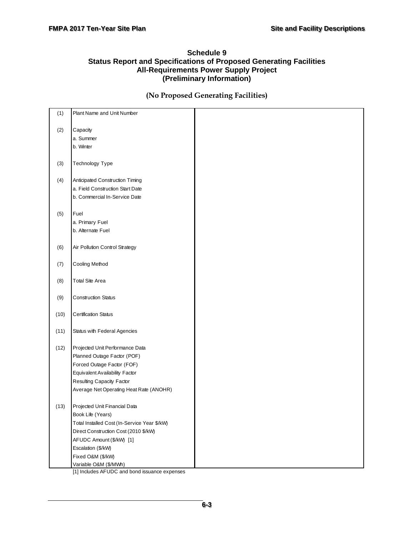#### <span id="page-59-0"></span>**Schedule 9 Status Report and Specifications of Proposed Generating Facilities All-Requirements Power Supply Project (Preliminary Information)**

#### **(No Proposed Generating Facilities)**

| (1)  | Plant Name and Unit Number                   |  |
|------|----------------------------------------------|--|
| (2)  | Capacity                                     |  |
|      | a. Summer                                    |  |
|      | b. Winter                                    |  |
|      |                                              |  |
| (3)  | Technology Type                              |  |
|      |                                              |  |
| (4)  | Anticipated Construction Timing              |  |
|      | a. Field Construction Start Date             |  |
|      | b. Commercial In-Service Date                |  |
| (5)  | Fuel                                         |  |
|      | a. Primary Fuel                              |  |
|      | b. Alternate Fuel                            |  |
|      |                                              |  |
| (6)  | Air Pollution Control Strategy               |  |
|      |                                              |  |
| (7)  | Cooling Method                               |  |
|      |                                              |  |
| (8)  | Total Site Area                              |  |
| (9)  | <b>Construction Status</b>                   |  |
|      |                                              |  |
| (10) | <b>Certification Status</b>                  |  |
| (11) | Status with Federal Agencies                 |  |
|      |                                              |  |
| (12) | Projected Unit Performance Data              |  |
|      | Planned Outage Factor (POF)                  |  |
|      | Forced Outage Factor (FOF)                   |  |
|      | Equivalent Availability Factor               |  |
|      | Resulting Capacity Factor                    |  |
|      | Average Net Operating Heat Rate (ANOHR)      |  |
| (13) | Projected Unit Financial Data                |  |
|      | Book Life (Years)                            |  |
|      | Total Installed Cost (In-Service Year \$/kW) |  |
|      | Direct Construction Cost (2010 \$/kW)        |  |
|      | AFUDC Amount (\$/kW) [1]                     |  |
|      | Escalation (\$/kW)                           |  |
|      | Fixed O&M (\$/kW)                            |  |
|      | Variable O&M (\$/MWh)                        |  |

[1] Includes AFUDC and bond issuance expenses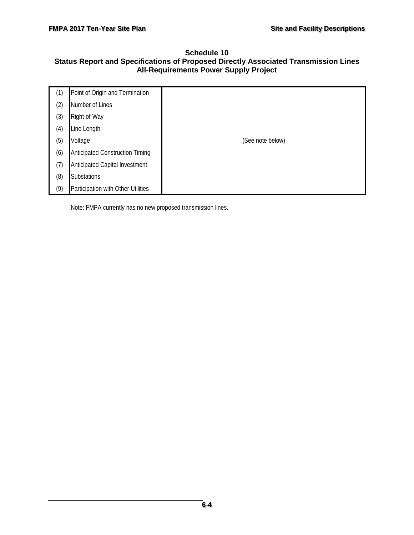#### <span id="page-60-0"></span>**Schedule 10 Status Report and Specifications of Proposed Directly Associated Transmission Lines All-Requirements Power Supply Project**

| (1) | Point of Origin and Termination        |                  |
|-----|----------------------------------------|------------------|
| (2) | Number of Lines                        |                  |
| (3) | Right-of-Way                           |                  |
| (4) | Line Length                            |                  |
| (5) | Voltage                                | (See note below) |
| (6) | <b>Anticipated Construction Timing</b> |                  |
| (7) | <b>Anticipated Capital Investment</b>  |                  |
| (8) | Substations                            |                  |
| (9) | Participation with Other Utilities     |                  |

Note: FMPA currently has no new proposed transmission lines.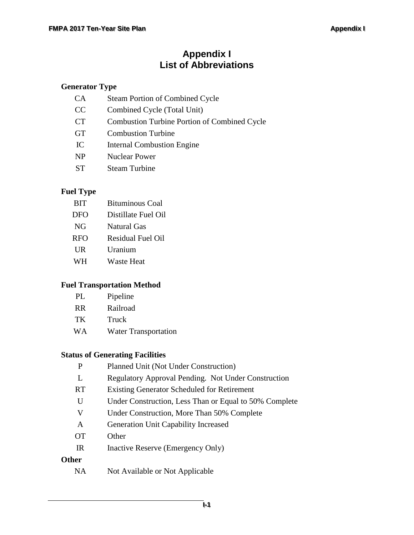# **Appendix I List of Abbreviations**

#### **Generator Type**

| <b>CA</b> | <b>Steam Portion of Combined Cycle</b>       |
|-----------|----------------------------------------------|
| CC        | Combined Cycle (Total Unit)                  |
| <b>CT</b> | Combustion Turbine Portion of Combined Cycle |
| <b>GT</b> | <b>Combustion Turbine</b>                    |
| IC        | <b>Internal Combustion Engine</b>            |
| <b>NP</b> | <b>Nuclear Power</b>                         |
| ST        | <b>Steam Turbine</b>                         |

#### **Fuel Type**

| <b>BIT</b> | <b>Bituminous Coal</b> |
|------------|------------------------|
| DFO        | Distillate Fuel Oil    |
| NG         | Natural Gas            |
| <b>RFO</b> | Residual Fuel Oil      |
| UR         | Uranium                |
| WH         | Waste Heat             |

#### **Fuel Transportation Method**

| PL. | Pipeline |
|-----|----------|
|     |          |

- RR Railroad
- TK Truck
- WA Water Transportation

#### **Status of Generating Facilities**

| P            | Planned Unit (Not Under Construction)                  |
|--------------|--------------------------------------------------------|
| L            | Regulatory Approval Pending. Not Under Construction    |
| <b>RT</b>    | <b>Existing Generator Scheduled for Retirement</b>     |
| U            | Under Construction, Less Than or Equal to 50% Complete |
| V            | Under Construction, More Than 50% Complete             |
| A            | <b>Generation Unit Capability Increased</b>            |
| <b>OT</b>    | Other                                                  |
| IR           | Inactive Reserve (Emergency Only)                      |
| <b>Other</b> |                                                        |
| NA           | Not Available or Not Applicable                        |